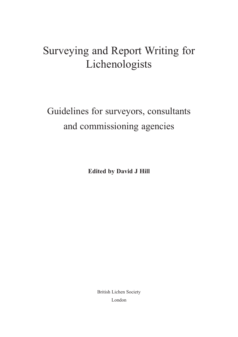# Surveying and Report Writing for Lichenologists

Guidelines for surveyors, consultants and commissioning agencies

Edited by David J Hill

British Lichen Society London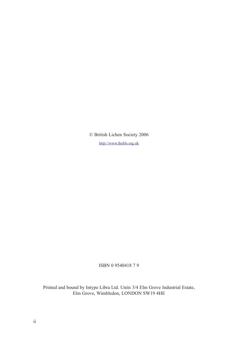© British Lichen Society 2006

http://www.thebls.org.uk

ISBN 0 9540418 7 9

Printed and bound by Intype Libra Ltd. Units 3/4 Elm Grove Industrial Estate, Elm Grove, Wimbledon, LONDON SW19 4HE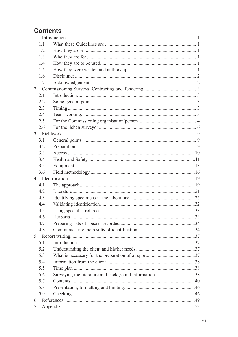# **Contents**

| 1 |     |                                                       |  |
|---|-----|-------------------------------------------------------|--|
|   | 1.1 |                                                       |  |
|   | 1.2 |                                                       |  |
|   | 1.3 |                                                       |  |
|   | 1.4 |                                                       |  |
|   | 1.5 |                                                       |  |
|   | 1.6 |                                                       |  |
|   | 1.7 |                                                       |  |
|   |     |                                                       |  |
|   | 2.1 |                                                       |  |
|   | 2.2 |                                                       |  |
|   | 2.3 |                                                       |  |
|   | 2.4 |                                                       |  |
|   | 2.5 |                                                       |  |
|   | 2.6 |                                                       |  |
|   |     |                                                       |  |
|   | 3.1 |                                                       |  |
|   | 3.2 |                                                       |  |
|   | 3.3 | Access 10                                             |  |
|   | 3.4 |                                                       |  |
|   | 3.5 |                                                       |  |
|   | 3.6 |                                                       |  |
|   |     |                                                       |  |
|   | 4.1 |                                                       |  |
|   | 4.2 |                                                       |  |
|   | 4.3 |                                                       |  |
|   | 4.4 |                                                       |  |
|   | 4.5 |                                                       |  |
|   | 4.6 |                                                       |  |
|   | 4.7 |                                                       |  |
|   | 4.8 |                                                       |  |
| 5 |     |                                                       |  |
|   | 5.1 |                                                       |  |
|   | 5.2 |                                                       |  |
|   | 5.3 |                                                       |  |
|   | 5.4 |                                                       |  |
|   | 5.5 |                                                       |  |
|   | 5.6 | Surveying the literature and background information38 |  |
|   | 5.7 |                                                       |  |
|   | 5.8 |                                                       |  |
|   | 5.9 |                                                       |  |
| 6 |     |                                                       |  |
| 7 |     |                                                       |  |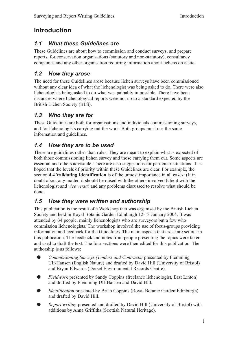# **Introduction**

### *1.1 What these Guidelines are*

These Guidelines are about how to commission and conduct surveys, and prepare reports, for conservation organisations (statutory and non-statutory), consultancy companies and any other organisation requiring information about lichens on a site.

# *1.2 How they arose*

The need for these Guidelines arose because lichen surveys have been commissioned without any clear idea of what the lichenologist was being asked to do. There were also lichenologists being asked to do what was palpably impossible. There have been instances where lichenological reports were not up to a standard expected by the British Lichen Society (BLS).

### *1.3 Who they are for*

These Guidelines are both for organisations and individuals commissioning surveys, and for lichenologists carrying out the work. Both groups must use the same information and guidelines.

# *1.4 How they are to be used*

These are guidelines rather than rules. They are meant to explain what is expected of both those commissioning lichen survey and those carrying them out. Some aspects are essential and others advisable. There are also suggestions for particular situations. It is hoped that the levels of priority within these Guidelines are clear. For example, the section 4.4 Validating Identification is of the utmost importance in all cases. (If in doubt about any matter, it should be raised with the others involved (client with the lichenologist and vice versa) and any problems discussed to resolve what should be done.

# *1.5 How they were written and authorship*

This publication is the result of a Workshop that was organised by the British Lichen Society and held in Royal Botanic Garden Edinburgh 12-13 January 2004. It was attended by 34 people, mainly lichenologists who are surveyors but a few who commission lichenologists. The workshop involved the use of focus-groups providing information and feedback for the Guidelines. The main aspects that arose are set out in this publication. The feedback and notes from people presenting the topics were taken and used to draft the text. The four sections were then edited for this publication. The authorship is as follows:

- Commissioning Surveys (Tenders and Contracts) presented by Flemming Ulf-Hansen (English Nature) and drafted by David Hill (University of Bristol) and Bryan Edwards (Dorset Environmental Records Centre).
- Fieldwork presented by Sandy Coppins (freelance lichenologist, East Linton) and drafted by Flemming Ulf-Hansen and David Hill.
- *Identification* presented by Brian Coppins (Royal Botanic Garden Edinburgh) and drafted by David Hill.
- Report writing presented and drafted by David Hill (University of Bristol) with additions by Anna Griffiths (Scottish Natural Heritage).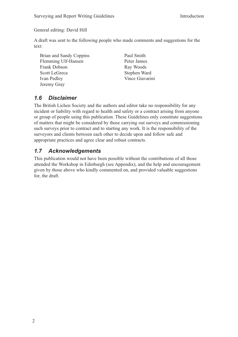General editing: David Hill

A draft was sent to the following people who made comments and suggestions for the text:

Brian and Sandy Coppins Flemming Ulf-Hansen Frank Dobson Scott LeGreca Ivan Pedley Jeremy Gray

Paul Smith Peter James Ray Woods Stephen Ward Vince Giavarini

# *1.6 Disclaimer*

The British Lichen Society and the authors and editor take no responsibility for any incident or liability with regard to health and safety or a contract arising from anyone or group of people using this publication. These Guidelines only constitute suggestions of matters that might be considered by those carrying out surveys and commissioning such surveys prior to contract and to starting any work. It is the responsibility of the surveyors and clients between each other to decide upon and follow safe and appropriate practices and agree clear and robust contracts.

# *1.7 Acknowledgements*

This publication would not have been possible without the contributions of all those attended the Workshop in Edinburgh (see Appendix), and the help and encouragement given by those above who kindly commented on, and provided valuable suggestions for, the draft.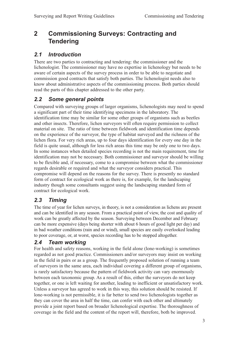# **2 Commissioning Surveys: Contracting and Tendering**

# *2.1 Introduction*

There are two parties to contracting and tendering: the commissioner and the lichenologist. The commissioner may have no expertise in lichenology but needs to be aware of certain aspects of the survey process in order to be able to negotiate and commission good contracts that satisfy both parties. The lichenologist needs also to know about administrative aspects of the commissioning process. Both parties should read the parts of this chapter addressed to the other party.

# *2.2 Some general points*

Compared with surveying groups of larger organisms, lichenologists may need to spend a significant part of their time identifying specimens in the laboratory. The identification time may be similar for some other groups of organisms such as beetles and other insects. Therefore, lichen surveyors will often require permission to collect material on site. The ratio of time between fieldwork and identification time depends on the experience of the surveyor, the type of habitat surveyed and the richness of the lichen flora. For very rich areas, up to four days identification for every one day in the field is quite usual, although for less rich areas this time may be only one to two days. In some instances when detailed species recording is not the main requirement, time for identification may not be necessary. Both commissioner and surveyor should be willing to be flexible and, if necessary, come to a compromise between what the commissioner regards desirable or required and what the surveyor considers practical. This compromise will depend on the reasons for the survey. There is presently no standard form of contract for ecological work as there is, for example, for the landscaping industry though some consultants suggest using the landscaping standard form of contract for ecological work.

# *2.3 Timing*

The time of year for lichen surveys, in theory, is not a consideration as lichens are present and can be identified in any season. From a practical point of view, the cost and quality of work can be greatly affected by the season. Surveying between December and February can be more expensive (days being shorter with about 6 hours of good light per day) and in bad weather conditions (rain and or wind), small species are easily overlooked leading to poor coverage, or, at worst, species recording has to be stopped altogether.

# *2.4 Team working*

For health and safety reasons, working in the field alone (lone-working) is sometimes regarded as not good practice. Commissioners and/or surveyors may insist on working in the field in pairs or as a group. The frequently proposed solution of running a team of surveyors in the same area, each individual covering a different group of organisms, is rarely satisfactory because the pattern of fieldwork activity can vary enormously between each taxonomic group. As a result of this, either the surveyors do not keep together, or one is left waiting for another, leading to inefficient or unsatisfactory work. Unless a surveyor has agreed to work in this way, this solution should be resisted. If lone-working is not permissible, it is far better to send two lichenologists together as they can cover the area in half the time, can confer with each other and ultimately provide a joint report based on broader lichenological expertise. The thoroughness of coverage in the field and the content of the report will, therefore, both be improved.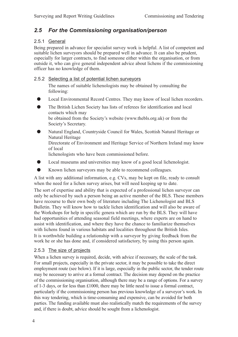### *2.5 For the Commissioning organisation/person*

#### 2.5.1 General

Being prepared in advance for specialist survey work is helpful. A list of competent and suitable lichen surveyors should be prepared well in advance. It can also be prudent, especially for larger contracts, to find someone either within the organisation, or from outside it, who can give general independent advice about lichens if the commissioning officer has no knowledge of them.

#### 2.5.2 Selecting a list of potential lichen surveyors

The names of suitable lichenologists may be obtained by consulting the following:

- Local Environmental Record Centres. They may know of local lichen recorders.
- The British Lichen Society has lists of referees for identification and local contacts which may be obtained from the Society's website (www.thebls.org.uk) or from the Society's Secretary.
- Natural England, Countryside Council for Wales, Scottish Natural Heritage or Natural Heritage

Directorate of Environment and Heritage Service of Northern Ireland may know of local

lichenologists who have been commissioned before.

- Local museums and universities may know of a good local lichenologist.
- Known lichen surveyors may be able to recommend colleagues.

A list with any additional information, e.g. CVs, may be kept on file, ready to consult when the need for a lichen survey arises, but will need keeping up to date.

The sort of expertise and ability that is expected of a professional lichen surveyor can only be achieved by such a person being an active member of the BLS. These members have recourse to their own body of literature including The Lichenologist and BLS Bulletin. They will know how to tackle lichen identification and will also be aware of the Workshops for help in specific genera which are run by the BLS. They will have had opportunities of attending seasonal field meetings, where experts are on hand to assist with identification, and where they have the chance to familiarize themselves with lichens found in various habitats and localities throughout the British Isles. It is worthwhile building a relationship with a surveyor by giving feedback from the work he or she has done and, if considered satisfactory, by using this person again.

#### 2.5.3 The size of projects

When a lichen survey is required, decide, with advice if necessary, the scale of the task. For small projects, especially in the private sector, it may be possible to take the direct employment route (see below). If it is large, especially in the public sector, the tender route may be necessary to arrive at a formal contract. The decision may depend on the practice of the commissioning organisation, although there may be a range of options. For a survey of 1-3 days, or for less than £1000, there may be little need to issue a formal contract, particularly if the commissioning person has previous knowledge of a surveyor's work. In this way tendering, which is time-consuming and expensive, can be avoided for both parties. The funding available must also realistically match the requirements of the survey and, if there is doubt, advice should be sought from a lichenologist.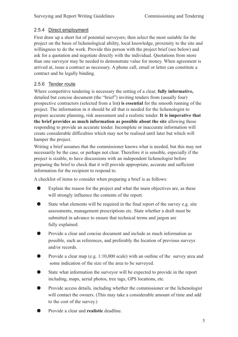### 2.5.4 Direct employment

First draw up a short list of potential surveyors; then select the most suitable for the project on the basis of lichenological ability, local knowledge, proximity to the site and willingness to do the work. Provide this person with the project brief (see below) and ask for a quotation and negotiate directly with the individual. Quotations from more than one surveyor may be needed to demonstrate value for money. When agreement is arrived at, issue a contract as necessary. A phone call, email or letter can constitute a contract and be legally binding.

### 2.5.6 Tender route

Where competitive tendering is necessary the setting of a clear, **fully informative**, detailed but concise document (the "brief") inviting tenders from (usually four) prospective contractors (selected from a list) is essential for the smooth running of the project. The information in it should be all that is needed for the lichenologist to prepare accurate planning, risk assessment and a realistic tender. It is imperative that the brief provides as much information as possible about the site allowing those responding to provide an accurate tender. Incomplete or inaccurate information will create considerable difficulties which may not be realised until later but which will hamper the project.

Writing a brief assumes that the commissioner knows what is needed, but this may not necessarily be the case, or perhaps not clear. Therefore it is sensible, especially if the project is sizable, to have discussions with an independent lichenologist before preparing the brief to check that it will provide appropriate, accurate and sufficient information for the recipient to respond to.

A checklist of items to consider when preparing a brief is as follows:

- Explain the reason for the project and what the main objectives are, as these will strongly influence the contents of the report.
- State what elements will be required in the final report of the survey e.g. site assessments, management prescriptions etc. State whether a draft must be submitted in advance to ensure that technical terms and jargon are fully explained.
- Provide a clear and concise document and include as much information as possible, such as references, and preferably the location of previous surveys and/or records.
- **•** Provide a clear map (e.g.  $1:10,000$  scale) with an outline of the survey area and some indication of the size of the area to be surveyed.
- State what information the surveyor will be expected to provide in the report including, maps, aerial photos, tree tags, GPS locations, etc.
- Provide access details, including whether the commissioner or the lichenologist will contact the owners. (This may take a considerable amount of time and add to the cost of the survey.)
- Provide a clear and **realistic** deadline.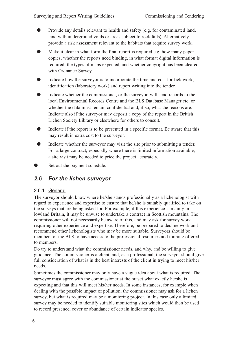- Provide any details relevant to health and safety (e.g. for contaminated land, land with underground voids or areas subject to rock falls). Alternatively provide a risk assessment relevant to the habitats that require survey work.
- Make it clear in what form the final report is required e.g. how many paper copies, whether the reports need binding, in what format digital information is required, the types of maps expected, and whether copyright has been cleared with Ordnance Survey.
- Indicate how the surveyor is to incorporate the time and cost for fieldwork, identification (laboratory work) and report writing into the tender.
- Indicate whether the commissioner, or the surveyor, will send records to the local Environmental Records Centre and the BLS Database Manager etc. or whether the data must remain confidential and, if so, what the reasons are. Indicate also if the surveyor may deposit a copy of the report in the British Lichen Society Library or elsewhere for others to consult.
- Indicate if the report is to be presented in a specific format. Be aware that this may result in extra cost to the surveyor.
- Indicate whether the surveyor may visit the site prior to submitting a tender. For a large contract, especially where there is limited information available, a site visit may be needed to price the project accurately.
- **Set out the payment schedule.**

### *2.6 For the lichen surveyor*

#### 2.6.1 General

The surveyor should know where he/she stands professionally as a lichenologist with regard to experience and expertise to ensure that he/she is suitably qualified to take on the surveys that are being asked for. For example, if this experience is mainly in lowland Britain, it may be unwise to undertake a contract in Scottish mountains. The commissioner will not necessarily be aware of this, and may ask for survey work requiring other experience and expertise. Therefore, be prepared to decline work and recommend other lichenologists who may be more suitable. Surveyors should be members of the BLS to have access to the professional resources and training offered to members.

Do try to understand what the commissioner needs, and why, and be willing to give guidance. The commissioner is a client, and, as a professional, the surveyor should give full consideration of what is in the best interests of the client in trying to meet his/her needs.

Sometimes the commissioner may only have a vague idea about what is required. The surveyor must agree with the commissioner at the outset what exactly he/she is expecting and that this will meet his/her needs. In some instances, for example when dealing with the possible impact of pollution, the commissioner may ask for a lichen survey, but what is required may be a monitoring project. In this case only a limited survey may be needed to identify suitable monitoring sites which would then be used to record presence, cover or abundance of certain indicator species.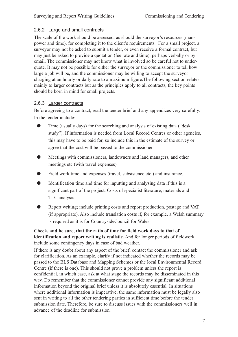### 2.6.2 Large and small contracts

The scale of the work should be assessed, as should the surveyor's resources (manpower and time), for completing it to the client's requirements. For a small project, a surveyor may not be asked to submit a tender, or even receive a formal contract, but may just be asked to provide a quotation (fee rate and time), perhaps verbally or by email. The commissioner may not know what is involved so be careful not to underquote. It may not be possible for either the surveyor or the commissioner to tell how large a job will be, and the commissioner may be willing to accept the surveyor charging at an hourly or daily rate to a maximum figure.The following section relates mainly to larger contracts but as the principles apply to all contracts, the key points should be born in mind for small projects.

### 2.6.3 Larger contracts

Before agreeing to a contract, read the tender brief and any appendices very carefully. In the tender include:

- Time (usually days) for the searching and analysis of existing data ("desk") study"). If information is needed from Local Record Centres or other agencies, this may have to be paid for, so include this in the estimate of the survey or agree that the cost will be passed to the commissioner.
- Meetings with commissioners, landowners and land managers, and other meetings etc (with travel expenses).
- Field work time and expenses (travel, subsistence etc.) and insurance.
- Identification time and time for inputting and analysing data if this is a significant part of the project. Costs of specialist literature, materials and TLC analysis.
- Report writing; include printing costs and report production, postage and VAT (if appropriate). Also include translation costs if, for example, a Welsh summary is required as it is for CountrysideCouncil for Wales.

#### Check, and be sure, that the ratio of time for field work days to that of identification and report writing is realistic. And for longer periods of fieldwork, include some contingency days in case of bad weather.

If there is any doubt about any aspect of the brief, contact the commissioner and ask for clarification. As an example, clarify if not indicated whether the records may be passed to the BLS Database and Mapping Schemes or the local Environmental Record Centre (if there is one). This should not prove a problem unless the report is confidential, in which case, ask at what stage the records may be disseminated in this way. Do remember that the commissioner cannot provide any significant additional information beyond the original brief unless it is absolutely essential. In situations where additional information is imperative, the same information must be legally also sent in writing to all the other tendering parties in sufficient time before the tender submission date. Therefore, be sure to discuss issues with the commissioners well in advance of the deadline for submission.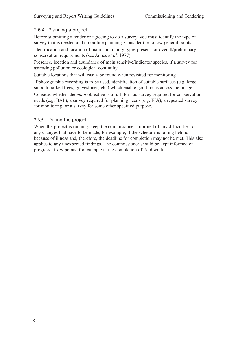### 2.6.4 Planning a project

Before submitting a tender or agreeing to do a survey, you must identify the type of survey that is needed and do outline planning. Consider the follow general points:

Identification and location of main community types present for overall/preliminary conservation requirements (see James et al. 1977).

Presence, location and abundance of main sensitive/indicator species, if a survey for assessing pollution or ecological continuity.

Suitable locations that will easily be found when revisited for monitoring.

If photographic recording is to be used, identification of suitable surfaces (e.g. large smooth-barked trees, gravestones, etc.) which enable good focus across the image.

Consider whether the main objective is a full floristic survey required for conservation needs (e.g. BAP), a survey required for planning needs (e.g. EIA), a repeated survey for monitoring, or a survey for some other specified purpose.

### 2.6.5 During the project

When the project is running, keep the commissioner informed of any difficulties, or any changes that have to be made, for example, if the schedule is falling behind because of illness and, therefore, the deadline for completion may not be met. This also applies to any unexpected findings. The commissioner should be kept informed of progress at key points, for example at the completion of field work.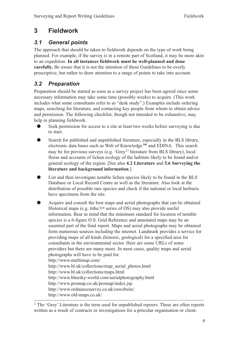# **3 Fieldwork**

### *3.1 General points*

The approach that should be taken to fieldwork depends on the type of work being planned. For example, if the survey is in a remote part of Scotland, it may be more akin to an expedition. In all instances fieldwork must be well-planned and done carefully. Be aware that it is not the intention of these Guidelines to be overly prescriptive, but rather to draw attention to a range of points to take into account.

# *3.2 Preparation*

Preparation should be started as soon as a survey project has been agreed since some necessary information may take some time (possibly weeks) to acquire. (This work includes what some consultants refer to as "desk study".) Examples include ordering maps, searching for literature, and contacting key people from whom to obtain advice and permission. The following checklist, though not intended to be exhaustive, may help in planning fieldwork.

- Seek permission for access to a site at least two weeks before surveying is due to start.
- Search for published and unpublished literature, especially in the BLS library, electronic data bases such as Web of Knowledge™ and EDINA. This search may be for previous surveys (e.g. 'Grey1' literature from BLS library), local floras and accounts of lichen ecology of the habitats likely to be found and/or general ecology of the region. [See also 4.2 Literature and 5.6 Surveying the literature and background information.]
- List and then investigate notable lichen species likely to be found in the BLS Database or Local Record Centre as well as the literature. Also look at the distribution of possible rare species and check if the national or local herbaria have specimens from the site.
- Acquire and consult the best maps and aerial photographs that can be obtained Historical maps (e.g. tithe/1st series of OS) may also provide useful information. Bear in mind that the minimum standard for location of notable species is a 6-figure O.S. Grid Reference and annotated maps may be an essential part of the final report. Maps and aerial photographs may be obtained form numerous sources including the internet. Landmark provides a service for providing maps of all kinds (historic, geological) for a specified area for consultants in the environmental sector. Here are some URLs of some providers but there are many more. In most cases, quality maps and aerial photographs will have to be paid for. http://www.multimap.com/ http://www.bl.uk/collections/map\_aerial\_photos.html http://www.bl.uk/collections/maps.html http://www.bluesky-world.com/aerialphotography.html http://www.promap.co.uk/promap/index.jsp http://www.ordnancesurvey.co.uk/oswebsite/ http://www.old-maps.co.uk/

<sup>&</sup>lt;sup>1</sup> The 'Grey' Literature is the term used for unpublished repoers. These are often reports written as a result of contracts or investigations for a prticular organisation or client.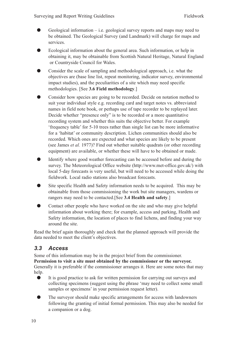- $\bullet$  Geological information i.e. geological survey reports and maps may need to be obtained. The Geological Survey (and Landmark) will charge for maps and services.
- Ecological information about the general area. Such information, or help in obtaining it, may be obtainable from Scottish Natural Heritage, Natural England or Countryside Council for Wales.
- Consider the scale of sampling and methodological approach, i.e. what the objectives are (base line list, repeat monitoring, indicator survey, environmental impact studies), and the peculiarities of a site which may need specific methodologies. [See 3.6 Field methodology.]
- Consider how species are going to be recorded. Decide on notation method to suit your individual style e.g. recording card and target notes vs. abbreviated names in field note book, or perhaps use of tape recorder to be replayed later. Decide whether "presence only" is to be recorded or a more quantitative recording system and whether this suits the objective better. For example 'frequency table' for 5-10 trees rather than single list can be more informative for a 'habitat' or community description. Lichen communities should also be recorded. Which ones are expected and what species are likely to be present (see James et al. 1977)? Find out whether suitable quadrats (or other recording equipment) are available, or whether these will have to be obtained or made.
- Identify where good weather forecasting can be accessed before and during the survey. The Meteorological Office website (http://www.met-office.gov.uk/) with local 5-day forecasts is very useful, but will need to be accessed while doing the fieldwork. Local radio stations also broadcast forecasts.
- Site specific Health and Safety information needs to be acquired. This may be obtainable from those commissioning the work but site managers, wardens or rangers may need to be contacted.[See 3.4 Health and safety.]
- Contact other people who have worked on the site and who may give helpful information about working there; for example, access and parking, Health and Safety information, the location of places to find lichens, and finding your way around the site.

Read the brief again thoroughly and check that the planned approach will provide the data needed to meet the client's objectives.

# *3.3 Access*

Some of this information may be in the project brief from the commissioner. Permission to visit a site must obtained by the commissioner or the surveyor. Generally it is preferable if the commissioner arranges it. Here are some notes that may help.

- It is good practice to ask for written permission for carrying out surveys and collecting specimens (suggest using the phrase 'may need to collect some small samples or specimens' in your permission request letter).
- The surveyor should make specific arrangements for access with landowners following the granting of initial formal permission. This may also be needed for a companion or a dog.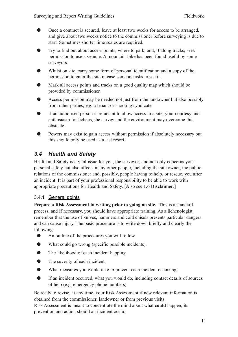- Once a contract is secured, leave at least two weeks for access to be arranged, and give about two weeks notice to the commissioner before surveying is due to start. Sometimes shorter time scales are required.
- Try to find out about access points, where to park, and, if along tracks, seek permission to use a vehicle. A mountain-bike has been found useful by some surveyors.
- Whilst on site, carry some form of personal identification and a copy of the permission to enter the site in case someone asks to see it.
- Mark all access points and tracks on a good quality map which should be provided by commissioner.
- Access permission may be needed not just from the landowner but also possibly from other parties, e.g. a tenant or shooting syndicate.
- If an authorised person is reluctant to allow access to a site, your courtesy and enthusiasm for lichens, the survey and the environment may overcome this obstacle.
- Powers may exist to gain access without permission if absolutely necessary but this should only be used as a last resort.

# *3.4 Health and Safety*

Health and Safety is a vital issue for you, the surveyor, and not only concerns your personal safety but also affects many other people, including the site owner, the public relations of the commissioner and, possibly, people having to help, or rescue, you after an incident. It is part of your professional responsibility to be able to work with appropriate precautions for Health and Safety. [Also see 1.6 Disclaimer.]

#### 3.4.1 General points

Prepare a Risk Assessment in writing prior to going on site. This is a standard process, and if necessary, you should have appropriate training. As a lichenologist, remember that the use of knives, hammers and cold chisels presents particular dangers and can cause injury. The basic procedure is to write down briefly and clearly the following:

- An outline of the procedures you will follow.
- What could go wrong (specific possible incidents).
- **The likelihood of each incident happing.**
- The severity of each incident.
- What measures you would take to prevent each incident occurring.
- If an incident occurred, what you would do, including contact details of sources of help (e.g. emergency phone numbers).

Be ready to revise, at any time, your Risk Assessment if new relevant information is obtained from the commissioner, landowner or from previous visits.

Risk Assessment is meant to concentrate the mind about what could happen, its prevention and action should an incident occur.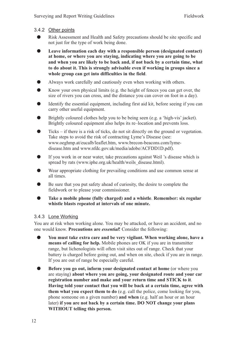#### 3.4.2 Other points

- Risk Assessment and Health and Safety precautions should be site specific and not just for the type of work being done.
- Leave information each day with a responsible person (designated contact) at home, or where you are staying, indicating where you are going to be and when you are likely to be back and, if not back by a certain time, what to do about it. This is strongly advisable even if working in groups since a whole group can get into difficulties in the field.
- Always work carefully and cautiously even when working with others.
- Know your own physical limits (e.g. the height of fences you can get over, the size of rivers you can cross, and the distance you can cover on foot in a day).
- Identify the essential equipment, including first aid kit, before seeing if you can carry other useful equipment.
- Brightly coloured clothes help you to be being seen (e.g. a 'high-vis' jacket). Brightly coloured equipment also helps its re–location and prevents loss.
- Ticks if there is a risk of ticks, do not sit directly on the ground or vegetation. Take steps to avoid the risk of contracting Lyme's Disease (see: www.oeghmp.at/eucalb/leaflet.htm, www.brecon-beacons.com/lymedisease.htm and www.nfdc.gov.uk/media/adobe/ACFDD1D.pdf).
- If you work in or near water, take precautions against Weil 's disease which is spread by rats (www.iphe.org.uk/health/weils\_disease.html).
- Wear appropriate clothing for prevailing conditions and use common sense at all times.
- Be sure that you put safety ahead of curiosity, the desire to complete the fieldwork or to please your commissioner.
- Take a mobile phone (fully charged) and a whistle. Remember: six regular whistle blasts repeated at intervals of one minute.

#### 3.4.3 Lone Working

You are at risk when working alone. You may be attacked, or have an accident, and no one would know. Precautions are *essential*! Consider the following:

- You must take extra care and be very vigilant. When working alone, have a means of calling for help. Mobile phones are OK if you are in transmitter range, but lichenologists will often visit sites out of range. Check that your battery is charged before going out, and when on site, check if you are in range. If you are out of range be especially careful.
- Before you go out, inform your designated contact at home (or where you are staying) about where you are going, your designated route and your car registration number and make and your return time and STICK to it. Having told your contact that you will be back at a certain time, agree with them what you expect them to do (e.g. call the police, come looking for you, phone someone on a given number) and when (e.g. half an hour or an hour later) if you are not back by a certain time. DO NOT change your plans WITHOUT telling this person.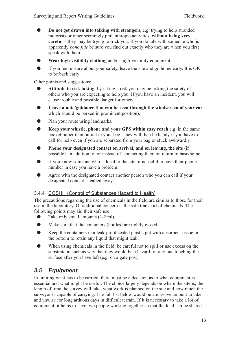- Do not get drawn into talking with strangers, e.g. trying to help stranded motorists or other seemingly philanthropic activities, without being very careful – they may be trying to trick you. If you do talk with someone who is apparently bono fide be sure you find out exactly who they are when you first speak with them.
- Wear high visibility clothing and/or high-visibility equipment
- If you feel unsure about your safety, leave the site and go home early. It is OK to be back early!

Other points and suggestions:

- Attitude to risk taking: by taking a risk you may be risking the safety of others who you are expecting to help you. If you have an incident, you will cause trouble and possible danger for others.
- Leave a note/guidance that can be seen through the windscreen of your car which should be parked in prominent position).
- Plan your route using landmarks.
- Keep your whistle, phone and your GPS within easy reach e.g. in the same pocket rather than buried in your bag. They will then be handy if you have to call for help even if you are separated from your bag or stuck awkwardly.
- $\bullet$  Phone your designated contact on arrival, and on leaving, the site (if possible). In addition to, or instead of, contacting them on return to base/home.
- If you know someone who is local to the site, it is useful to have their phone number in case you have a problem.
- Agree with the designated contact another person who you can call if your designated contact is called away.

#### 3.4.4 COSHH (Control of Substances Hazard to Health)

The precautions regarding the use of chemicals in the field are similar to those for their use in the laboratory. Of additional concern is the safe transport of chemicals. The following points may aid their safe use:

- Take only small amounts (1-2 ml).
- Make sure that the containers (bottles) are tightly closed.
- Keep the containers in a leak-proof sealed plastic pot with absorbent tissue in the bottom to retain any liquid that might leak.
- When using chemicals in the field, be careful not to spill or use excess on the substrate in such as way that they would be a hazard for any one touching the surface after you have left (e.g. on a gate post).

### *3.5 Equipment*

In limiting what has to be carried, there must be a decision as to what equipment is essential and what might be useful. The choice largely depends on where the site is, the length of time the survey will take, what work is planned on the site and how much the surveyor is capable of carrying. The full list below would be a massive amount to take and unwise for long arduous days in difficult terrain. If it is necessary to take a lot of equipment, it helps to have two people working together so that the load can be shared.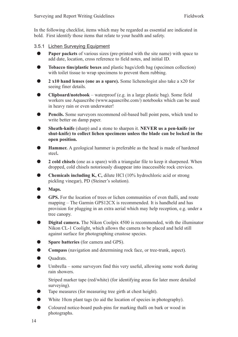In the following checklist, items which may be regarded as essential are indicated in bold. First identify those items that relate to your health and safety.

#### 3.5.1 Lichen Surveying Equipment

- Paper packets of various sizes (pre-printed with the site name) with space to add date, location, cross reference to field notes, and initial ID.
- **Tobacco tins/plastic boxes** and plastic bags/cloth bag (specimen collection) with toilet tissue to wrap specimens to prevent them rubbing.
- 2 x10 hand lenses (one as a spare). Some lichenologist also take a x20 for seeing finer details.
- **Clipboard/notebook** waterproof (e.g. in a large plastic bag). Some field workers use Aquascribe (www.aquascribe.com/) notebooks which can be used in heavy rain or even underwater!
- **Pencils.** Some surveyors recommend oil-based ball point pens, which tend to write better on damp paper.
- Sheath-knife (sharp) and a stone to sharpen it. NEVER us a pen-knife (or shut-knife) to collect lichen specimens unless the blade can be locked in the open position.
- Hammer. A geological hammer is preferable as the head is made of hardened steel.
- **2 cold chisels** (one as a spare) with a triangular file to keep it sharpened. When dropped, cold chisels notoriously disappear into inaccessible rock crevices.
- $\bullet$  Chemicals including K, C, dilute HCl (10% hydrochloric acid or strong pickling vinegar), PD (Steiner's solution).
- Maps.
- GPS. For the location of trees or lichen communities of even thalli, and route mapping – The Garmin GPS12CX is recommended. It is handheld and has provision for plugging in an extra aerial which may help reception, e.g. under a tree canopy.
- Digital camera. The Nikon Coolpix 4500 is recommended, with the illuminator Nikon CL-1 Coolight, which allows the camera to be placed and held still against surface for photographing crustose species.
- Spare batteries (for camera and GPS).
- Compass (navigation and determining rock face, or tree-trunk, aspect).
- **•** Ouadrats.
- Umbrella some surveyors find this very useful, allowing some work during rain showers.

Striped marker tape (red/white) (for identifying areas for later more detailed surveying).

- Tape measures (for measuring tree girth at chest height).
- White 10cm plant tags (to aid the location of species in photography).
- Coloured notice-board push-pins for marking thalli on bark or wood in photographs.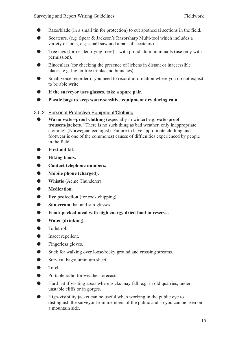- Razorblade (in a small tin for protection) to cut apothecial sections in the field.
- Secateurs. (e.g. Spear & Jackson's Razorsharp Multi-tool which includes a variety of tools, e.g. small saw and a pair of secateurs).
- Tree tags (for re-identifying trees) with proud aluminium nails (use only with permission).
- Binoculars (for checking the presence of lichens in distant or inaccessible places, e.g. higher tree trunks and branches).
- Small voice recorder if you need to record information where you do not expect to be able write.
- If the surveyor uses glasses, take a spare pair.
- Plastic bags to keep water-sensitive equipment dry during rain.
- 3.5.2 Personal Protective Equipment/Clothing
	- Warm water-proof clothing (especially in winter) e.g. waterproof trousers/jackets. "There is no such thing as bad weather, only inappropriate clothing" (Norwegian ecologist). Failure to have appropriate clothing and footwear is one of the commonest causes of difficulties experienced by people in the field.
	- First-aid kit.
	- Hiking boots.
	- Contact telephone numbers.
	- Mobile phone (charged).
	- Whistle (Acme Thunderer).
	- Medication.
	- Eye protection (for rock chipping).
	- Sun cream, hat and sun-glasses.
	- Food: packed meal with high energy dried food in reserve.
	- Water (drinking).
	- Toilet roll.
	- Insect repellent.
	- Fingerless gloves.
	- Stick for walking over loose/rocky ground and crossing streams.
	- Survival bag/aluminium sheet.
	- Torch.
	- Portable radio for weather forecasts.
	- Hard hat if visiting areas where rocks may fall, e.g. in old quarries, under unstable cliffs or in gorges.
	- High-visibility jacket can be useful when working in the public eye to distinguish the surveyor from members of the public and so you can be seen on a mountain side.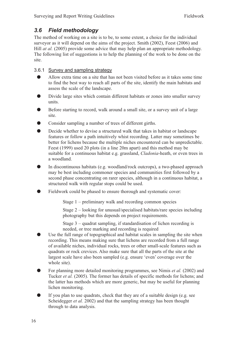# *3.6 Field methodology*

The method of working on a site is to be, to some extent, a choice for the individual surveyor as it will depend on the aims of the project. Smith (2002), Feest (2006) and Hill *at al.* (2005) provide some advice that may help plan an appropriate methodology. The following list of suggestions is to help the planning of the work to be done on the site.

### 3.6.1 Survey and sampling strategy

- Allow extra time on a site that has not been visited before as it takes some time to find the best way to reach all parts of the site, identify the main habitats and assess the scale of the landscape.
- Divide large sites which contain different habitats or zones into smaller survey units.
- Before starting to record, walk around a small site, or a survey unit of a large site.
- **Consider sampling a number of trees of different girths.**
- Decide whether to devise a structured walk that takes in habitat or landscape features or follow a path intuitively whist recording. Latter may sometimes be better for lichens because the multiple niches encountered can be unpredictable. Feest (1999) used 20 plots (in a line 20m apart) and this method may be suitable for a continuous habitat e.g. grassland, *Cladonia*-heath, or even trees in a woodland.
- In discontinuous habitats (e.g. woodland/rock outcrops), a two-phased approach may be best including commoner species and communities first followed by a second phase concentrating on rarer species, although in a continuous habitat, a structured walk with regular stops could be used.
- Fieldwork could be phased to ensure thorough and systematic cover:

Stage 1 – preliminary walk and recording common species

Stage 2 – looking for unusual/specialised habitats/rare species including photography but this depends on project requirements.

Stage 3 – quadrat sampling, if standardisation of lichen recording is needed, or tree marking and recording is required

- Use the full range of topographical and habitat scales in sampling the site when recording. This means making sure that lichens are recorded from a full range of available niches, individual rocks, trees or other small-scale features such as quadrats or rock crevices. Also make sure that all the parts of the site at the largest scale have also been sampled (e.g. ensure 'even' coverage over the whole site).
- For planning more detailed monitoring programmes, see Nimis et al. (2002) and Tucker et al. (2005). The former has details of specific methods for lichens; and the latter has methods which are more generic, but may be useful for planning lichen monitoring.
- If you plan to use quadrats, check that they are of a suitable design (e.g. see Scheidegger *et al.* 2002) and that the sampling strategy has been thought through to data analysis.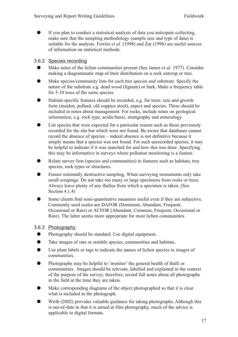If you plan to conduct a statistical analysis of data you anticipate collecting, make sure that the sampling methodology (sample size and type of data) is suitable for the analysis. Fowler *et al.* (1998) and Zar (1996) are useful sources of information on statistical methods.

#### 3.6.2 Species recording

- $\bullet$  Make notes of the lichen communities present (See James *et al.* 1977). Consider making a diagrammatic map of their distribution on a rock outcrop or tree.
- Make species/community lists for each tree species and substrate. Specify the nature of the substrate e.g. dead wood (lignum) or bark. Make a frequency table for 5-10 trees of the same species.
- Habitat-specific features should be recorded, e.g. for trees: size and growth form (maiden, pollard, old coppice stool), aspect and species. These should be included in notes about management. For rocks, include notes on geological information, e.g. rock type, acidic/basic, stratigraphy and mineralogy.
- List species that were expected for a particular reason such as those previously recorded for the site but which were not found. Be aware that databases cannot record the absence of species – indeed absence is not definitive because it simply means that a species was not found. For such unrecorded species, it may be helpful to indicate if it was searched for and how this was done. Specifying this may be informative in surveys where pollution monitoring is a feature.
- Relate survey lists (species and communities) to features such as habitats, tree species, rock types or structures.
- Ensure minimally destructive sampling. When surveying monuments only take small scrapings. Do not take too many or large specimens from rocks or trees. Always leave plenty of any thallus from which a specimen is taken. (See Section 4.1.4)
- Some clients find semi-quantitative measures useful even if they are subjective. Commonly used scales are DAFOR (Dominant, Abundant, Frequent, Occasional or Rare) or ACFOR (Abundant, Common, Frequent, Occasional or Rare). The latter seems more appropriate for most lichen communities.

#### 3.6.3 Photography

- Photography should be standard. Use digital equipment.
- Take images of rare or notable species, communities and habitats.
- Use plant labels or tags to indicate the names of lichen species in images of communities.
- Photographs may be helpful to 'monitor' the general health of thalli or communities. Images should be relevant, labelled and explained in the context of the purpose of the survey; therefore, record full notes about all photographs in the field at the time they are taken.
- Make corresponding diagrams of the object photographed so that it is clear what is included in the photograph.
- Wirth (2002) provides valuable guidance for taking photographs. Although this is out-of-date in that it is aimed at film photography, much of the advice is applicable to digital formats.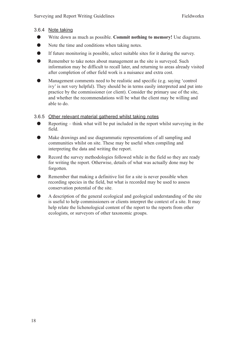#### 3.6.4 Note taking

- Write down as much as possible. Commit nothing to memory! Use diagrams.
- Note the time and conditions when taking notes.
- If future monitoring is possible, select suitable sites for it during the survey.
- **•** Remember to take notes about management as the site is surveyed. Such information may be difficult to recall later, and returning to areas already visited after completion of other field work is a nuisance and extra cost.
- Management comments need to be realistic and specific (e.g. saying 'control ivy' is not very helpful). They should be in terms easily interpreted and put into practice by the commissioner (or client). Consider the primary use of the site, and whether the recommendations will be what the client may be willing and able to do.

#### 3.6.5 Other relevant material gathered whilst taking notes

- $Reporting think what will be put included in the report whilst surveying in the$ field.
- Make drawings and use diagrammatic representations of all sampling and communities whilst on site. These may be useful when compiling and interpreting the data and writing the report.
- Record the survey methodologies followed while in the field so they are ready for writing the report. Otherwise, details of what was actually done may be forgotten.
- Remember that making a definitive list for a site is never possible when recording species in the field, but what is recorded may be used to assess conservation potential of the site.
- A description of the general ecological and geological understanding of the site is useful to help commissioners or clients interpret the context of a site. It may help relate the lichenological content of the report to the reports from other ecologists, or surveyors of other taxonomic groups.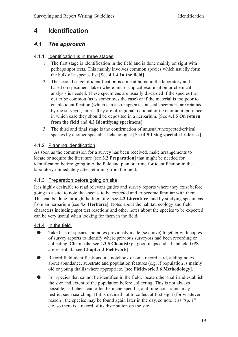# **4 Identification**

### *4.1 The approach*

#### 4.1.1 Identification is in three stages

- 1 The first stage is identification in the field and is done mainly on sight with perhaps spot tests. This mainly involves common species which usually form the bulk of a species list [See 4.1.4 In the field].
- 2 The second stage of identification is done at home in the laboratory and is based on specimens taken where microscopical examination or chemical analysis is needed. These specimens are usually discarded if the species turn out to be common (as is sometimes the case) or if the material is too poor to enable identification (which can also happen). Unusual specimens are retained by the surveyor, unless they are of regional, national or taxonomic importance, in which case they should be deposited in a herbarium. [See 4.1.5 On return from the field and 4.3 Identifying specimens].
- 3 The third and final stage is the confirmation of unusual/unexpected/critical species by another specialist lichenologist [See 4.5 Using specialist referees].

### 4.1.2 Planning identification

As soon as the commission for a survey has been received, make arrangements to locate or acquire the literature [see 3.2 Preparation] that might be needed for identification before going into the field and plan out time for identification in the laboratory immediately after returning from the field.

#### 4.1.3 Preparation before going on site

It is highly desirable to read relevant guides and survey reports where they exist before going to a site, to note the species to be expected and to become familiar with them. This can be done through the literature [see 4.2 Literature] and by studying specimens from an herbarium [see 4.6 Herbaria]. Notes about the habitat, ecology and field characters including spot test reactions and other notes about the species to be expected can be very useful when looking for them in the field.

### 4.1.4 In the field

- Take lists of species and notes previously made (se above) together with copies of survey reports to identify where previous surveyors had been recording or collecting. Chemicals [see 4.3.5 Chemistry], good maps and a handheld GPS are essential. [see Chapter 3 Fieldwork].
- Record field identifications in a notebook or on a record card, adding notes about abundance, substrate and population features (e.g. if population is mainly old or young thalli) where appropriate. [see Fieldwork 3.6 Methodology].
- For species that cannot be identified in the field, locate other thalli and establish the size and extent of the population before collecting. This is not always possible, as lichens can often be niche-specific, and time-constraints may restrict such searching. If it is decided not to collect at first sight (for whatever reason), the species may be found again later in the day, so note it as "sp. 1" etc, so there is a record of its distribution on the site.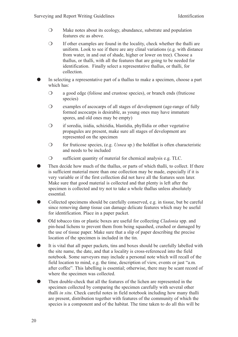- ❍ Make notes about its ecology, abundance, substrate and population features etc as above.
- ❍ If other examples are found in the locality, check whether the thalli are uniform. Look to see if there are any clinal variations (e.g. with distance from water, in and out of shade, higher or lower on tree). Choose a thallus, or thalli, with all the features that are going to be needed for identification. Finally select a representative thallus, or thalli, for collection.
- In selecting a representative part of a thallus to make a specimen, choose a part which has:
	- ❍ a good edge (foliose and crustose species), or branch ends (fruticose species)
	- ❍ examples of ascocarps of all stages of development (age-range of fully formed ascocarps is desirable, as young ones may have immature spores, and old ones may be empty)
	- ❍ if soredia, isidia, schizidia, blastidia, phyllidia or other vegetative propagules are present, make sure all stages of development are represented on the specimen
	- ❍ for fruticose species, (e.g. Usnea sp.) the holdfast is often characteristic and needs to be included
	- ❍ sufficient quantity of material for chemical analysis e.g. TLC.
	- Then decide how much of the thallus, or parts of which thalli, to collect. If there is sufficient material more than one collection may be made, especially if it is very variable or if the first collection did not have all the features seen later. Make sure that good material is collected and that plenty is left after the specimen is collected and try not to take a whole thallus unless absolutely essential.
- Collected specimens should be carefully conserved, e.g. in tissue, but be careful since removing damp tissue can damage delicate features which may be useful for identification. Place in a paper packet.
- Old tobacco tins or plastic boxes are useful for collecting *Cladonia* spp. and pin-head lichens to prevent them from being squashed, crushed or damaged by the use of tissue paper. Make sure that a slip of paper describing the precise location of the specimen is included in the tin.
- It is vital that all paper packets, tins and boxes should be carefully labelled with the site name, the date, and that a locality is cross-referenced into the field notebook. Some surveyors may include a personal note which will recall of the field location to mind, e.g. the time, description of view, events or just "a.m. after coffee". This labelling is essential; otherwise, there may be scant record of where the specimen was collected.
- Then double-check that all the features of the lichen are represented in the specimen collected by comparing the specimen carefully with several other thalli in situ. Check careful notes in field notebook including how many thalli are present, distribution together with features of the community of which the species is a component and of the habitat. The time taken to do all this will be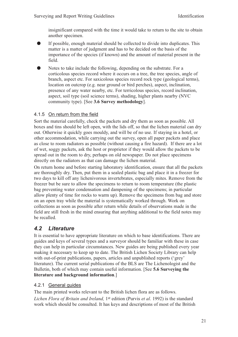insignificant compared with the time it would take to return to the site to obtain another specimen.

- If possible, enough material should be collected to divide into duplicates. This matter is a matter of judgment and has to be decided on the basis of the importance of the species (if known) and the amount of material present in the field.
- Notes to take include the following, depending on the substrate. For a corticolous species record where it occurs on a tree, the tree species, angle of branch, aspect etc. For saxicolous species record rock type (geological terms), location on outcrop (e.g. near ground or bird perches), aspect, inclination, presence of any water nearby, etc. For terricolous species, record inclination, aspect, soil type (soil science terms), shading, higher plants nearby (NVC community type). [See 3.6 Survey methodology].

### 4.1.5 On return from the field

Sort the material carefully, check the packets and dry them as soon as possible. All boxes and tins should be left open, with the lids off, so that the lichen material can dry out. Otherwise it quickly goes mouldy, and will be of no use. If staying in a hotel, or other accommodation, while carrying out the survey, open all paper packets and place as close to room radiators as possible (without causing a fire hazard). If there are a lot of wet, soggy packets, ask the host or proprietor if they would allow the packets to be spread out in the room to dry, perhaps on old newspaper. Do not place specimens directly on the radiators as that can damage the lichen material.

On return home and before starting laboratory identification, ensure that all the packets are thoroughly dry. Then, put them in a sealed plastic bag and place it in a freezer for two days to kill off any lichenivorous invertebrates, especially mites. Remove from the freezer but be sure to allow the specimens to return to room temperature (the plastic bag preventing water condensation and dampening of the specimens; in particular allow plenty of time for rocks to warm up). Remove the specimens from bag and store on an open tray while the material is systematically worked through. Work on collections as soon as possible after return while details of observations made in the field are still fresh in the mind ensuring that anything additional to the field notes may be recalled.

# *4.2 Literature*

It is essential to have appropriate literature on which to base identifications. There are guides and keys of several types and a surveyor should be familiar with these in case they can help in particular circumstances. New guides are being published every year making it necessary to keep up to date. The British Lichen Society Library can help with out-of-print publications, papers, articles and unpublished reports ('grey' literature). The current serial publications of the BLS are The Lichenologist and the Bulletin, both of which may contain useful information. [See 5.6 Surveying the literature and background information.]

### 4.2.1 General guides

The main printed works relevant to the British lichen flora are as follows. Lichen Flora of Britain and Ireland, 1<sup>st</sup> edition (Purvis et al. 1992) is the standard work which should be consulted. It has keys and descriptions of most of the British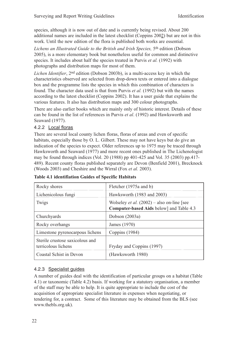species, although it is now out of date and is currently being revised. About 200 additional names are included in the latest checklist (Coppins 2002) but are not in this work. Until the new edition of the flora is published both works are essential.

Lichens an Illustrated Guide to the British and Irish Species, 5th edition (Dobson 2005), is a more elementary book but nonetheless useful for common and distinctive species. It includes about half the species treated in Purvis *et al.* (1992) with photographs and distribution maps for most of them.

Lichen Identifier, 2nd edition (Dobson 2003b), is a multi-access key in which the characteristics observed are selected from drop-down texts or entered into a dialogue box and the programme lists the species in which this combination of characters is found. The character data used is that from Purvis et al. (1992) but with the names according to the latest checklist (Coppins 2002). It has a user guide that explains the various features. It also has distribution maps and 300 colour photographs.

There are also earlier books which are mainly only of historic interest. Details of these can be found in the list of references in Purvis et al. (1992) and Hawksworth and Seaward (1977).

### 4.2.2 Local floras

There are several local county lichen floras, floras of areas and even of specific habitats, especially those by O. L. Gilbert. These may not have keys but do give an indication of the species to expect. Older references up to 1975 may be traced through Hawksworth and Seaward (1977) and more recent ones published in The Lichenologist may be found through indices (Vol. 20 (1988) pp 401-425 and Vol. 35 (2003) pp.417- 489). Recent county floras published separately are Devon (Benfield 2001), Brecknock (Woods 2003) and Cheshire and the Wirral (Fox et al. 2003).

| Rocky shores                                           | Fletcher (1975a and b)                                                                                 |  |
|--------------------------------------------------------|--------------------------------------------------------------------------------------------------------|--|
| Lichenicolous fungi                                    | Hawksworth (1983 and 2003)                                                                             |  |
| Twigs                                                  | Wolseley <i>et al.</i> $(2002)$ – also on-line [see<br><b>Computer-based Aids below] and Table 4.3</b> |  |
| Churchyards                                            | Dobson $(2003a)$                                                                                       |  |
| Rocky overhangs                                        | James (1970)                                                                                           |  |
| Limestone pyrenocarpous lichens                        | Coppins (1984)                                                                                         |  |
| Sterile crustose saxicolous and<br>terricolous lichens | Fryday and Coppins (1997)                                                                              |  |
| Coastal Schist in Devon                                | (Hawksworth 1980)                                                                                      |  |

Table 4.1 identifiation Guides of Specific Habitats

#### 4.2.3 Specialist guides

A number of guides deal with the identification of particular groups on a habitat (Table 4.1) or taxonomic (Table 4.2) basis. If working for a statutory organisation, a member of the staff may be able to help. It is quite appropriate to include the cost of the acquisition of appropriate specialist literature in expenses when negotiating, or tendering for, a contract. Some of this literature may be obtained from the BLS (see www.thebls.org.uk).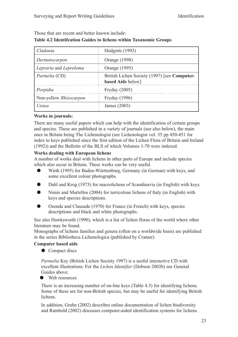| Cladonia               | Hodgetts (1992)                                                   |  |
|------------------------|-------------------------------------------------------------------|--|
| Dermatocarpon          | Orange (1998)                                                     |  |
| Lepraria and Leproloma | Orange (1995)                                                     |  |
| Parmelia (CD)          | British Lichen Society (1997) [see Computer-<br>based Aids below] |  |
| Porpidia               | Fryday $(2005)$                                                   |  |
| Non-yellow Rhizocarpon | Fryday (1996)                                                     |  |
| <i>Usnea</i>           | James (2003)                                                      |  |

Those that are recent and better known include: Table 4.2 Identifcation Guides to lichens within Taxonomic Groups

#### Works in journals:

There are many useful papers which can help with the identification of certain groups and species. These are published in a variety of journals (see also below), the main ones in Britain being The Lichenologist (see Lichenologist vol. 35 pp 450-451 for index to keys published since the first edition of the Lichen Flora of Britain and Ireland (1992)) and the Bulletin of the BLS of which Volumes 1-70 were indexed.

#### Works dealing with European lichens

A number of works deal with lichens in other parts of Europe and include species which also occur in Britain. These works can be very useful.

- Wirth (1995) for Baden-Württenburg, Germany (in German) with keys, and some excellent colour photographs.
- Dahl and Krog (1973) for macrolichens of Scandinavia (in English) with keys.
- Nimis and Martellos (2004) for terricolous lichens of Italy (in English) with keys and species descriptions.
- Ozenda and Clausade (1970) for France (in French) with keys, species descriptions and black and white photographs.

See also Hawksworth (1990), which is a list of lichen floras of the world where other literature may be found.

Monographs of lichens families and genera (often on a worldwide basis) are published in the series Bibliotheca Lichenologica (published by Cramer).

#### Computer based aids

● Compact discs

Parmelia Key (British Lichen Society 1997) is a useful interactive CD with excellent illustrations. For the Lichen Identifier (Dobson 2003b) see General Guides above.

Web resources

There is an increasing number of on-line keys (Table 4.3) for identifying lichens. Some of these are for non-British species, but may be useful for identifying British lichens.

In addition, Grube (2002) describes online documentation of lichen biodiversity and Rambold (2002) discusses computer-aided identification systems for lichens.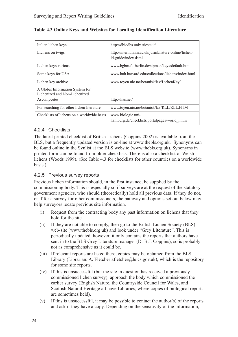| Italian lichen keys                                              | http://dbiodbs.univ.trieste.it/                                             |  |
|------------------------------------------------------------------|-----------------------------------------------------------------------------|--|
| Lichens on twigs                                                 | http://internt.nhm.ac.uk/jdsml/nature-online/lichen-<br>id-guide/index.dsml |  |
| Lichen keys various                                              | www.bgbm.fu-berlin.de/sipman/keys/default.htm                               |  |
| Some keys for USA                                                | www.huh.harvard.edu/collections/lichens/index.html                          |  |
| Lichen key archive                                               | www.toyen.uio.no/botanisk/lav/LichenKey/                                    |  |
| A Global Information System for<br>Lichenized and Non-Lichenized |                                                                             |  |
| Ascomycetes                                                      | http://lias.net/                                                            |  |
| For searching for other lichen literature                        | www.toyen.uio.no/botanisk/lav/RLL/RLL.HTM                                   |  |
| Checklists of lichens on a worldwide basis                       | www.biologie.uni-<br>hamburg.de/checklists/portalpages/world 1.htm          |  |

#### Table 4.3 Online Keys and Websites for Locating Identification Literature

#### 4.2.4 Checklists

The latest printed checklist of British Lichens (Coppins 2002) is available from the BLS, but a frequently updated version is on-line at www.thebls.org.uk. Synonyms can be found online in the Synlist at the BLS website (www.thebls.org.uk). Synonyms in printed form can be found from older checklists. There is also a checklist of Welsh lichens (Woods 1999). (See Table 4.3 for checklists for other countries on a worldwide basis.)

#### 4.2.5 Previous survey reports

Previous lichen information should, in the first instance, be supplied by the commissioning body. This is especially so if surveys are at the request of the statutory government agencies, who should (theoretically) hold all previous data. If they do not, or if for a survey for other commissioners, the pathway and options set out below may help surveyors locate previous site information.

- (i) Request from the contracting body any past information on lichens that they hold for the site.
- (ii) If they are not able to comply, then go to the British Lichen Society (BLS) web-site (www.thebls.org.uk) and look under "Grey Literature". This is periodically updated, however, it only contains the reports that authors have sent in to the BLS Grey Literature manager (Dr B.J. Coppins), so is probably not as comprehensive as it could be.
- (iii) If relevant reports are listed there, copies may be obtained from the BLS Library (Librarian: A. Fletcher afletcher@leics.gov.uk), which is the repository for some site reports.
- (iv) If this is unsuccessful (but the site in question has received a previously commissioned lichen survey), approach the body which commissioned the earlier survey (English Nature, the Countryside Council for Wales, and Scottish Natural Heritage all have Libraries, where copies of biological reports are sometimes held).
- $(v)$  If this is unsuccessful, it may be possible to contact the author(s) of the reports and ask if they have a copy. Depending on the sensitivity of the information,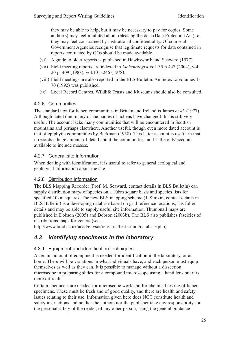they may be able to help, but it may be necessary to pay for copies. Some author(s) may feel inhibited about releasing the data (Data Protection Act), or they may feel constrained by institutional confidentiality. Of course all Government Agencies recognise that legitimate requests for data contained in reports contracted by GOs should be made available.

- (vi) A guide to older reports is published in Hawksworth and Seaward (1977).
- (vii) Field meeting reports are indexed in Lichenologist vol. 35 p 447 (2004), vol. 20 p. 409 (1988), vol.10 p.246 (1978).
- (viii) Field meetings are also reported in the BLS Bulletin. An index to volumes 1- 70 (1992) was published.
- (ix) Local Record Centres, Wildlife Trusts and Museums should also be consulted.

#### 4.2.6 Communities

The standard text for lichen communities in Britain and Ireland is James et al. (1977). Although dated (and many of the names of lichens have changed) this is still very useful. The account lacks many communities that will be encountered in Scottish mountains and perhaps elsewhere. Another useful, though even more dated account is that of epiphytic communities by Barkman (1958). This latter account is useful in that it records a huge amount of detail about the communities, and is the only account available to include mosses.

#### 4.2.7 General site information

When dealing with identification, it is useful to refer to general ecological and geological information about the site.

#### 4.2.8 Distribution information

The BLS Mapping Recorder (Prof. M. Seaward, contact details in BLS Bulletin) can supply distribution maps of species on a 10km square basis and species lists for specified 10km squares. The new BLS mapping scheme (J. Simkin, contact details in BLS Bulletin) is a developing database based on grid reference locations, has fuller details and may be able to supply useful site information. Thumbnail maps are published in Dobson (2005) and Dobson (2003b). The BLS also publishes fascicles of distributions maps for genera (see

http://www.brad.ac.uk/acad/envsci/research/herbarium/database.php).

### *4.3 Identifying specimens in the laboratory*

#### 4.3.1 Equipment and identification techniques

A certain amount of equipment is needed for identification in the laboratory, or at home. There will be variations in what individuals have, and each person must equip themselves as well as they can. It is possible to manage without a dissection microscope in preparing slides for a compound microscope using a hand lens but it is more difficult.

Certain chemicals are needed for microscope work and for chemical testing of lichen specimens. These must be fresh and of good quality, and there are health and safety issues relating to their use. Information given here does NOT constitute health and safety instructions and neither the authors nor the publisher take any responsibility for the personal safety of the reader, of any other person, using the general guidance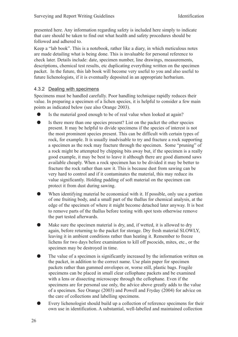presented here. Any information regarding safety is included here simply to indicate that care should be taken to find out what health and safety procedures should be followed and adhered to.

Keep a "lab book". This is a notebook, rather like a diary, in which meticulous notes are made detailing what is being done. This is invaluable for personal reference to check later. Details include: date, specimen number, line drawings, measurements, descriptions, chemical test results, etc duplicating everything written on the specimen packet. In the future, this lab book will become very useful to you and also useful to future lichenologists, if it is eventually deposited in an appropriate herbarium.

#### 4.3.2 Dealing with specimens

Specimens must be handled carefully. Poor handling technique rapidly reduces their value. In preparing a specimen of a lichen species, it is helpful to consider a few main points as indicated below (see also Orange 2003).

- Is the material good enough to be of real value when looked at again?
- Is there more than one species present? List on the packet the other species present. It may be helpful to divide specimens if the species of interest is not the most prominent species present. This can be difficult with certain types of rock, for example. It is usually inadvisable to try and fracture a rock supporting a specimen as the rock may fracture through the specimen. Some "pruning" of a rock might be attempted by chipping bits away but, if the specimen is a really good example, it may be best to leave it although there are good diamond saws available cheaply. When a rock specimen has to be divided it may be better to fracture the rock rather than saw it. This is because dust from sawing can be very hard to control and if it contaminates the material, this may reduce its value significantly. Holding padding of soft material on the specimen can protect it from dust during sawing.
- When identifying material be economical with it. If possible, only use a portion of one fruiting body, and a small part of the thallus for chemical analysis, at the edge of the specimen of where it might become detached later anyway. It is best to remove parts of the thallus before testing with spot tests otherwise remove the part tested afterwards.
- Make sure the specimen material is dry, and, if wetted, it is allowed to dry again, before returning to the packet for storage. Dry fresh material SLOWLY, leaving it in ambient conditions rather than heating it. Remember to freeze lichens for two days before examination to kill off pscocids, mites, etc., or the specimen may be destroyed in time.
- The value of a specimen is significantly increased by the information written on the packet, in addition to the correct name. Use plain paper for specimen packets rather than gummed envelopes or, worse still, plastic bags. Fragile specimens can be placed in small clear cellophane packets and be examined with a lens or dissecting microscope through the cellophane. Even if the specimens are for personal use only, the advice above greatly adds to the value of a specimen. See Orange (2003) and Powell and Fryday (2004) for advice on the care of collections and labelling specimens.
- Every lichenologist should build up a collection of reference specimens for their own use in identification. A substantial, well-labelled and maintained collection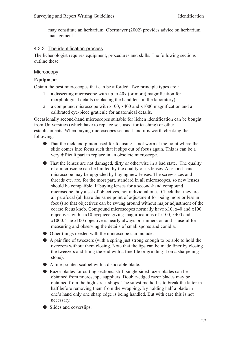may constitute an herbarium. Obermayer (2002) provides advice on herbarium management.

#### 4.3.3 The identification process

The lichenologist requires equipment, procedures and skills. The following sections outline these.

#### **Microscopy**

#### Equipment

Obtain the best microscopes that can be afforded. Two principle types are :

- 1. a dissecting microscope with up to 40x (or more) magnification for morphological details (replacing the hand lens in the laboratory).
- 2. a compound microscope with x100, x400 and x1000 magnification and a calibrated eye-piece graticule for anatomical details.

Occasionally second-hand microscopes suitable for lichen identification can be bought from Universities (which have to replace sets used for teaching) or other establishments. When buying microscopes second-hand it is worth checking the following.

- That the rack and pinion used for focusing is not worn at the point where the slide comes into focus such that it slips out of focus again. This is can be a very difficult part to replace in an obsolete microscope.
- That the lenses are not damaged, dirty or otherwise in a bad state. The quality of a microscope can be limited by the quality of its lenses. A second-hand microscope may be upgraded by buying new lenses. The screw sizes and threads etc. are, for the most part, standard in all microscopes, so new lenses should be compatible. If buying lenses for a second-hand compound microscope, buy a set of objectives, not individual ones. Check that they are all parafocal (all have the same point of adjustment for being more or less in focus) so that objectives can be swung around without major adjustment of the coarse focus knob. Compound microscopes normally have x10, x40 and x100 objectives with a x10 eyepiece giving magnifications of x100, x400 and x1000. The x100 objective is nearly always oil-immersion and is useful for measuring and observing the details of small spores and conidia.
- Other things needed with the microscope can include:
- A pair fine of tweezers (with a spring just strong enough to be able to hold the tweezers without them closing. Note that the tips can be made finer by closing the tweezers and filing the end with a fine file or grinding it on a sharpening stone).
- A fine-pointed scalpel with a disposable blade.
- Razor blades for cutting sections: stiff, single-sided razor blades can be obtained from microscope suppliers. Double-edged razor blades may be obtained from the high street shops. The safest method is to break the latter in half before removing them from the wrapping. By holding half a blade in one's hand only one sharp edge is being handled. But with care this is not necessary.
- Slides and coverslips.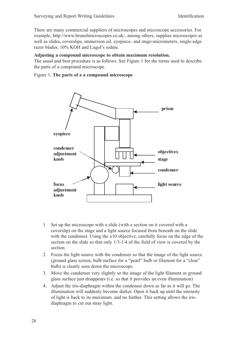There are many commercial suppliers of microscopes and microscope accessories. For example, http://www.brunelmicroscopes.co.uk/, among others, supplies microscopes as well as slides, coverslips, immersion oil, eyepiece- and stage-micrometers, single-edge razor blades, 10% KOH and Lugol's iodine.

#### Adjusting a compound microscope to obtain maximum resolution.

The usual and best procedure is as follows. See Figure 1 for the terms used to describe the parts of a compound microscope.

Figure 1. The parts of a a compound microscope



- 1. Set up the microscope with a slide (with a section on it covered with a coverslip) on the stage and a light source focused from beneath on the slide with the condenser. Using the x10 objective, carefully focus on the edge of the section on the slide so that only 1/3-1/4 of the field of view is covered by the section.
- 2. Focus the light source with the condenser so that the image of the light source (ground glass screen, bulb surface for a "pearl" bulb or filament for a "clear" bulb) is clearly seen down the microscope.
- 3. Move the condenser very slightly so the image of the light filament or ground glass surface just disappears (i.e. so that it provides an even illumination)
- 4. Adjust the iris-diaphragm within the condenser down as far as it will go. The illumination will suddenly become darker. Open it back up until the intensity of light is back to its maximum. and no further. This setting allows the irisdiaphragm to cut out stray light.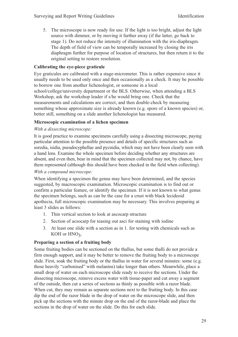5. The microscope is now ready for use. If the light is too bright, adjust the light source with dimmer, or by moving it further away (if the latter, go back to stage 1). Do not reduce the intensity of illumination with the iris-diaphragm. The depth of field of view can be temporally increased by closing the iris diaphragm further for purpose of location of structures, but then return it to the original setting to restore resolution.

#### Calibrating the eye-piece graticule

Eye graticules are calibrated with a stage-micrometer. This is rather expensive since it usually needs to be used only once and then occasionally as a check. It may be possible to borrow one from another lichenologist, or someone in a local school/college/university department or the BLS. Otherwise, when attending a BLS Workshop, ask the workshop leader if s/he would bring one. Check that the measurements and calculations are correct, and then double-check by measuring something whose approximate size is already known (e.g. spore of a known species) or, better still, something on a slide another lichenologist has measured.

#### Microscopic examination of a lichen specimen

#### With a dissecting microscope:

It is good practice to examine specimens carefully using a dissecting microscope, paying particular attention to the possible presence and details of specific structures such as soredia, isidia, pseudocyphellae and pycnidia, which may not have been clearly seen with a hand lens. Examine the whole specimen before deciding whether any structures are absent, and even then, bear in mind that the specimen collected may not, by chance, have them represented (although this should have been checked in the field when collecting).

#### With a compound microscope:

When identifying a specimen the genus may have been determined, and the species suggested, by macroscopic examination. Microscopic examination is to find out or confirm a particular feature, or identify the specimen. If it is not known to what genus the specimen belongs, such as can be the case for a crust with black lecideoid apothecia, full microscopic examination may be necessary. This involves preparing at least 3 slides as follows:

- 1. Thin vertical section to look at ascocarp structure
- 2. Section of acsocarp for teasing out asci for staining with iodine
- 3. At least one slide with a section as in 1. for testing with chemicals such as KOH or HNO<sub>3</sub>.

#### Preparing a section of a fruiting body

Some fruiting bodies can be sectioned on the thallus, but some thalli do not provide a firm enough support, and it may be better to remove the fruiting body to a microscope slide. First, soak the fruiting body or the thallus in water for several minutes: some (e.g. those heavily "carbonised" with melanins) take longer than others. Meanwhile, place a small drop of water on each microscope slide ready to receive the sections. Under the dissecting microscope, remove excess water with tissue-paper and cut away a segment of the outside, then cut a series of sections as thinly as possible with a razor blade. When cut, they may remain as separate sections next to the fruiting body. In this case dip the end of the razor blade in the drop of water on the microscope slide, and then pick up the sections with the minute drop on the end of the razor-blade and place the sections in the drop of water on the slide. Do this for each slide.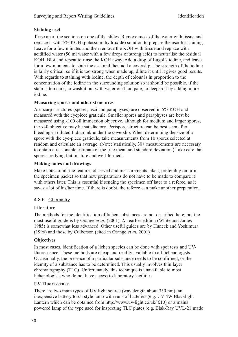#### Staining asci

Tease apart the sections on one of the slides. Remove most of the water with tissue and replace it with 5% KOH (potassium hydroxide) solution to prepare the asci for staining. Leave for a few minutes and then remove the KOH with tissue and replace with acidified water (50 ml water with a few drops of strong acid) to neutralise the residual KOH. Blot and repeat to rinse the KOH away. Add a drop of Lugol's iodine, and leave for a few moments to stain the asci and then add a coverslip. The strength of the iodine is fairly critical, so if it is too strong when made up, dilute it until it gives good results. With regards to staining with iodine, the depth of colour is in proportion to the concentration of the iodine in the surrounding solution so it should be possible, if the stain is too dark, to wash it out with water or if too pale, to deepen it by adding more iodine.

#### Measuring spores and other structures

Ascocarp structures (spores, asci and paraphyses) are observed in 5% KOH and measured with the eyepiece graticule. Smaller spores and paraphyses are best be measured using x100 oil immersion objective, although for medium and larger spores, the x40 objective may be satisfactory. Perispore structure can be best seen after bleeding-in diluted Indian ink under the coverslip. When determining the size of a spore with the eye-piece graticule, take measurements from 10 spores selected at random and calculate an average. (Note: statistically, 30+ measurements are necessary to obtain a reasonable estimate of the true mean and standard deviation.) Take care that spores are lying flat, mature and well-formed.

#### Making notes and drawings

Make notes of all the features observed and measurements taken, preferably on or in the specimen packet so that new preparations do not have to be made to compare it with others later. This is essential if sending the specimen off later to a referee, as it saves a lot of his/her time. If there is doubt, the referee can make another preparation.

#### 4.3.5 Chemistry

#### **Literature**

The methods for the identification of lichen substances are not described here, but the most useful guide is by Orange et al. (2001). An earlier edition (White and James 1985) is somewhat less advanced. Other useful guides are by Huneck and Yoshimura (1996) and those by Culberson (cited in Orange et al. 2001)

#### **Objectives**

In most cases, identification of a lichen species can be done with spot tests and UVfluorescence. These methods are cheap and readily available to all lichenologists. Occasionally, the presence of a particular substance needs to be confirmed, or the identity of a substance has to be determined. This usually involves thin layer chromatography (TLC). Unfortunately, this technique is unavailable to most lichenologists who do not have access to laboratory facilities.

#### UV Fluorescence

There are two main types of UV light source (wavelength about 350 nm): an inexpensive battery torch style lamp with runs of batteries (e.g. UV 4W Blacklight Lantern which can be obtained from http://www.uv-light.co.uk/ $\pm 10$ ) or a mains powered lamp of the type used for inspecting TLC plates (e.g. Blak-Ray UVL-21 made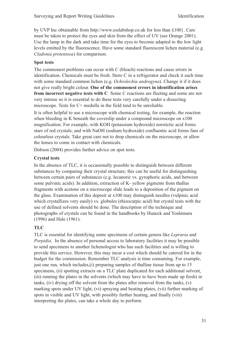by UVP Inc obtainable from http://www.esslabshop.co.uk for less than £100}. Care must be taken to protect the eyes and skin from the effect of UV (see Orange 2001). Use the lamp in the dark and take time for the eyes to become adapted to the low light levels emitted by the fluorescence. Have some standard fluorescent lichen material (e.g. Cladonia protentosa) for comparison.

#### Spot tests

The commonest problems can occur with C (bleach) reactions and cause errors in identification. Chemicals must be fresh. Store C in a refrigerator and check it each time with some standard common lichen (e.g. *Ochrolechia androgyna*). Change it if it does not give really bright colour. One of the commonest errors in identification arises from incorrect negative tests with C. Some C reactions are fleeting and some are not very intense so it is essential to do these tests very carefully under a dissecting microscope. Tests for C+ medulla in the field tend to be unreliable.

It is often helpful to use a microscope with chemical testing, for example, the reaction when bleeding in K beneath the coverslip under a compound microscope on  $x100$ magnification. For example, with KOH (potassium hydroxide) norstictic acid forms stars of red crystals; and with NaOH (sodium hydroxide) confluentic acid forms fans of colourless crystals. Take great care not to drop chemicals on the microscope, or allow the lenses to come in contact with chemicals.

Dobson (2004) provides further advice on spot tests.

#### Crystal tests

In the absence of TLC, it is occasionally possible to distinguish between different substances by comparing their crystal structure; this can be useful for distinguishing between certain pairs of substances (e.g. lecanoric vs. gyrophoric acids, and between some pulvinic acids). In addition, extraction of K- yellow pigments from thallus fragments with acetone on a microscope slide leads to a deposition of the pigment on the glass. Examination of this deposit at x100 may distinguish needles (vulpinic acid which crystallizes very easily) vs. globules (rhizocarpic acid) but crystal tests with the use of defined solvents should be done. The description of the technique and photographs of crystals can be found in the handbooks by Huneck and Yoshimura (1996) and Hale (1961).

#### TLC

TLC is essential for identifying some specimens of certain genera like Lepraria and Porpidia. In the absence of personal access to laboratory facilities it may be possible to send specimens to another lichenologist who has such facilities and is willing to provide this service. However, this may incur a cost which should be catered for in the budget for the commission. Remember TLC analysis is time consuming. For example, just one run, which includes,(i) preparing samples of thalline tissue from up to 15 specimens, (ii) spotting extracts on a TLC plate duplicated for each additional solvent, (iii) running the plates in the solvents (which may have to have been made up fresh) in tanks, (iv) drying off the solvent from the plates after removal from the tanks,  $(v)$ marking spots under UV light, (vi) spraying and heating plates, (vii) further marking of spots in visible and UV light, with possibly further heating, and finally (viii) interpreting the plates, can take a whole day to perform.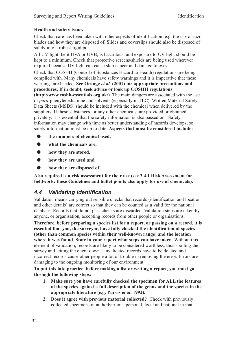#### Health and safety issues

Check that care has been taken with other aspects of identification, e.g. the use of razor blades and how they are disposed of. Slides and coverslips should also be disposed of safely into a robust rigid pot.

All UV light, be it UVA or UVB, is hazardous, and exposure to UV light should be kept to a minimum. Check that protective screens/shields are being used wherever required because UV light can cause skin cancer and damage to eyes.

Check that COSHH (Control of Substances Hazard to Health) regulations are being complied with. Many chemicals have safety warnings and it is imperative that these warnings are heeded. See Orange *et al.* (2001) for appropriate precautions and procedures. If in doubt, seek advice or look up COSHH regulations (http://www.coshh-essentials.org.uk/). The main dangers are associated with the use of para-phenylenediamine and solvents (especially in TLC). Written Material Safety Data Sheets (MSDS) should be included with the chemical when delivered by the suppliers. If these substances, or any other chemicals, are provided or obtained privately, it is essential that the safety information is also passed on. Safety information may change with time as better understanding of hazards develops, so safety information must be up to date. Aspects that must be considered include:

- the numbers of chemical used,
- what the chemicals are,
- **•** how they are stored,
- how they are used and
- how they are disposed of.

Also required is a risk assessment for their use (see 3.4.1 Risk Assessment for fieldwork: these Guidelines and bullet points also apply for use of chemicals).

# *4.4 Validating identification*

Validation means carrying out sensible checks that records (identification and location and other details) are correct so that they can be counted as a valid for the national database. Records that do not pass checks are discarded. Validation steps are taken by anyone, or organisation, accepting records from other people or organisations.

Therefore, before preparing a species list for a report, or passing on a record, it is essential that you, the surveyor, have fully checked the identification of species (other than common species within their well-known range) and the location where it was found. State in your report what steps you have taken. Without this element of validation, records are likely to be considered worthless, thus spoiling the survey and letting the client down. Unvalidated records have to be deleted and incorrect records cause other people a lot of trouble in removing the error. Errors are damaging to the ongoing monitoring of our environment.

To put this into practice, before making a list or writing a report, you must go through the following steps:

- 1. Make sure you have carefully checked the specimen for ALL the features of the species against a full description of the genus and the species in the appropriate literature (e.g. Purvis et al. 1992).
- 2. Does it agree with previous material collected? Check with previously collected specimens in an herbarium - personal, local and national in that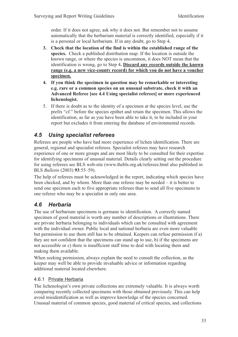order. If it does not agree, ask why it does not. But remember not to assume automatically that the herbarium material is correctly identified, especially if it is a personal or local herbarium. If in any doubt, go to Step 4.

- 3. Check that the location of the find is within the established range of the species. Check a published distribution map. If the location is outside the known range, or where the species is uncommon, it does NOT mean that the identification is wrong, go to Step 4. Discard any records outside the known range (e.g. a new vice-county record) for which you do not have a voucher specimen.
- 4. If you think the specimen in question may be remarkable or interesting e.g. rare or a common species on an unusual substrate, check it with an Advanced Referee [see 4.4 Using specialist referees] or more experienced lichenologist.
- 5. If there is doubt as to the identity of a specimen at the species level, use the prefix "cf." before the species epithet and retain the specimen. This allows the identification, as far as you have been able to take it, to be included in your report but excludes it from entering the database of environmental records.

# *4.5 Using specialist referees*

Referees are people who have had more experience of lichen identification. There are general, regional and specialist referees. Specialist referees may have research experience of one or more groups and are most likely to be consulted for their expertise for identifying specimens of unusual material. Details clearly setting out the procedure for using referees see BLS web-site (www.thebls.org.uk/referees.html also published in BLS Bulletin (2003) 93:55–59).

The help of referees must be acknowledged in the report, indicating which species have been checked, and by whom. More than one referee may be needed – it is better to send one specimen each to five appropriate referees than to send all five specimens to one referee who may be a specialist in only one area.

# *4.6 Herbaria*

The use of herbarium specimens is germane to identification. A correctly named specimen of good material is worth any number of descriptions or illustrations. There are private herbaria belonging to individuals which can be consulted with agreement with the individual owner. Public local and national herbaria are even more valuable but permission to use them still has to be obtained. Keepers can refuse permission if a) they are not confident that the specimens can stand up to use, b) if the specimens are not accessible or c) there is insufficient staff time to deal with locating them and making them available.

When seeking permission, always explain the need to consult the collection, as the keeper may well be able to provide invaluable advice or information regarding additional material located elsewhere.

### 4.6.1 Private Herbaria

The lichenologist's own private collections are extremely valuable. It is always worth comparing recently collected specimens with those obtained previously. This can help avoid misidentification as well as improve knowledge of the species concerned. Unusual material of common species, good material of critical species, and collections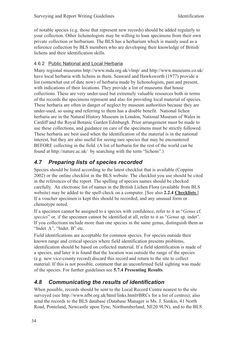of notable species (e.g. those that represent new records) should be added regularly to your collection. Other lichenologists may be willing to loan specimens from their own private collection or herbarium. The BLS has a herbarium which is mainly used as a reference collection by BLS members who are developing their knowledge of British lichens and their identification skills.

### 4.6.2 Public National and Local Herbaria

Many regional museums http://www.mda.org.uk/vlmp/ and http://www.museums.co.uk/ have local herbaria with lichens in them. Seaward and Hawksworth (1977) provide a list (somewhat out of date now) of herbaria made by lichenologists, past and present, with indications of their locations. They provide a list of museums that house collections. These are very under-used but extremely valuable resources both in terms of the records the specimens represent and also for providing local material of species. These herbaria are often in danger of neglect by museum authorities because they are under-used, so using and referring to them has a double benefit. National lichen herbaria are in the Natural History Museum in London, National Museum of Wales in Cardiff and the Royal Botanic Garden Edinburgh. Prior arrangement must be made to use these collections, and guidance on care of the specimens must be strictly followed. These herbaria are best used when the identification of the material is in the national interest, but they are also useful for seeing rare species that may be encountered BEFORE collecting in the field. (A list of herbaria for the rest of the world can be found at http://nature.ac.uk/ by searching with the term "lichens".)

# *4.7 Preparing lists of species recorded*

Species should be listed according to the latest checklist that is available (Coppins 2002) or the online checklist in the BLS website. The checklist you use should be cited in the references of the report. The spelling of species names should be checked carefully. An electronic list of names in the British Lichen Flora (available from BLS website) may be added to the spell-check on a computer. [See also 2.2.4 Checklists.] If a voucher specimen is kept this should be recorded, and any unusual form or chemotype noted.

If a specimen cannot be assigned to a species with confidence, refer to it as "*Genus* cf. species" or, if the specimen cannot be identified at all, refer to it as "*Genus* sp. indet". If you collections include more than one species in the same genus, distinguish them as "Indet. A", "Indet. B" etc.

Field identifications are acceptable for common species. For species outside their known range and critical species where field identification presents problems, identification should be based on collected material. If a field identification is made of a species, and later it is found that the location was outside the range of the species (e.g. new vice-county record) discard this record and return to the site to collect material. If this is not possible, comment that an unconfirmed field sighting was made of the species. For further guidelines see 5.7.4 Presenting Results.

# *4.8 Communicating the results of identification*

When possible, records should be sent to the Local Record Centre nearest to the site surveyed (see http://www.nfbr.org.uk/html/links.html#BRCs for a list of centres); also send the records to the BLS database (Database Manager is Ms. J. Simkin, 41 North Road, Ponteland, Newcastle upon Tyne, Northumberland, NE20 9UN), and to the BLS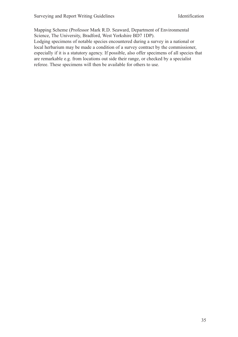Mapping Scheme (Professor Mark R.D. Seaward, Department of Environmental Science, The University, Bradford, West Yorkshire BD7 1DP). Lodging specimens of notable species encountered during a survey in a national or local herbarium may be made a condition of a survey contract by the commissioner, especially if it is a statutory agency. If possible, also offer specimens of all species that are remarkable e.g. from locations out side their range, or checked by a specialist referee. These specimens will then be available for others to use.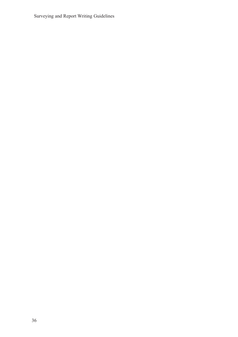Surveying and Report Writing Guidelines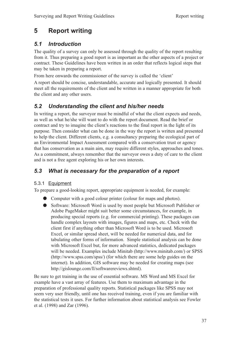# **5 Report writing**

# *5.1 Introduction*

The quality of a survey can only be assessed through the quality of the report resulting from it. Thus preparing a good report is as important as the other aspects of a project or contract. These Guidelines have been written in an order that reflects logical steps that may be taken in preparing a report.

From here onwards the commissioner of the survey is called the 'client'

A report should be concise, understandable, accurate and logically presented. It should meet all the requirements of the client and be written in a manner appropriate for both the client and any other users.

# *5.2 Understanding the client and his/her needs*

In writing a report, the surveyor must be mindful of what the client expects and needs, as well as what he/she will want to do with the report document. Read the brief or contract and try to imagine the client's reactions to the final report in the light of its purpose. Then consider what can be done in the way the report is written and presented to help the client. Different clients, e.g. a consultancy preparing the ecological part of an Environmental Impact Assessment compared with a conservation trust or agency that has conservation as a main aim, may require different styles, approaches and tones. As a commitment, always remember that the surveyor owes a duty of care to the client and is not a free agent exploring his or her own interests.

# *5.3 What is necessary for the preparation of a report*

### 5.3.1 Equipment

To prepare a good-looking report, appropriate equipment is needed, for example:

- Computer with a good colour printer (colour for maps and photos).
- Software: Microsoft Word is used by most people but Microsoft Publisher or Adobe PageMaker might suit better some circumstances, for example, in producing special reports (e.g. for commercial printing). These packages can handle complex layouts with images, figures and maps, etc. Check with the client first if anything other than Microsoft Word is to be used. Microsoft Excel, or similar spread sheet, will be needed for numerical data, and for tabulating other forms of information. Simple statistical analysis can be done with Microsoft Excel but, for more advanced statistics, dedicated packages will be needed. Examples include Minitab (http://www.minitab.com/) or SPSS (http://www.spss.com/spss/) (for which there are some help guides on the internet). In addition, GIS software may be needed for creating maps (see http://gislounge.com/ll/softwarereviews.shtml).

Be sure to get training in the use of essential software. MS Word and MS Excel for example have a vast array of features. Use them to maximum advantage in the preparation of professional quality reports. Statistical packages like SPSS may not seem very user friendly, until one has received training, even if you are familiar with the statistical tests it uses. For further information about statistical analysis see Fowler et al. (1998) and Zar (1996).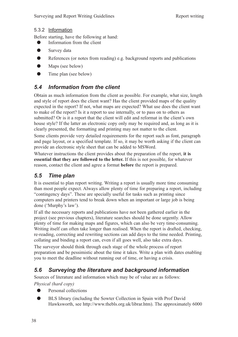### 5.3.2 Information

Before starting, have the following at hand:

- Information from the client
- Survey data
- References (or notes from reading) e.g. background reports and publications
- Maps (see below)
- **•** Time plan (see below)

# *5.4 Information from the client*

Obtain as much information from the client as possible. For example, what size, length and style of report does the client want? Has the client provided maps of the quality expected in the report? If not, what maps are expected? What use does the client want to make of the report? Is it a report to use internally, or to pass on to others as submitted? Or is it a report that the client will edit and reformat in the client's own house style? If the latter an electronic copy only may be required and, as long as it is clearly presented, the formatting and printing may not matter to the client.

Some clients provide very detailed requirements for the report such as font, paragraph and page layout, or a specified template. If so, it may be worth asking if the client can provide an electronic style sheet that can be added to MSWord.

Whatever instructions the client provides about the preparation of the report, it is essential that they are followed to the letter. If this is not possible, for whatever reason, contact the client and agree a format before the report is prepared.

# *5.5 Time plan*

It is essential to plan report writing. Writing a report is usually more time consuming than most people expect. Always allow plenty of time for preparing a report, including "contingency days". These are specially useful for tasks such as printing since computers and printers tend to break down when an important or large job is being done ('Murphy's law').

If all the necessary reports and publications have not been gathered earlier in the project (see previous chapters), literature searches should be done urgently. Allow plenty of time for making maps and figures, which can also be very time-consuming. Writing itself can often take longer than realised. When the report is drafted, checking, re-reading, correcting and rewriting sections can add days to the time needed. Printing, collating and binding a report can, even if all goes well, also take extra days.

The surveyor should think through each stage of the whole process of report preparation and be pessimistic about the time it takes. Write a plan with dates enabling you to meet the deadline without running out of time, or having a crisis.

# *5.6 Surveying the literature and background information*

Sources of literature and information which may be of value are as follows:

Physical (hard copy)

- Personal collections
- BLS library (including the Sowter Collection in Spain with Prof David Hawksworth, see http://www.thebls.org.uk/librar.htm). The approximately 6000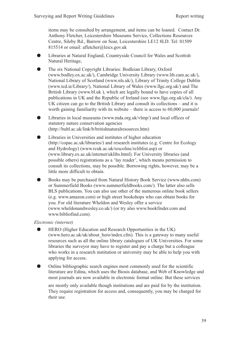items may be consulted by arrangement, and items can be loaned. Contact Dr. Anthony Fletcher, Leicestershire Museums Service, Collections Resources Centre, Sileby Rd., Barrow on Soar, Leicestershire LE12 8LD. Tel: 01509 815514 or email: afletcher@leics.gov.uk

- Libraries at Natural England, Countryside Council for Wales and Scottish Natural Heritage,
- The six National Copyright Libraries: Bodleian Library, Oxford (www.bodley.ox.ac.uk/), Cambridge University Library (www.lib.cam.ac.uk/), National Library of Scotland (www.nls.uk/), Library of Trinity College Dublin (www.tcd.ie/Library/), National Library of Wales (www.llgc.org.uk/) and The British Library (www.bl.uk ), which are legally bound to have copies of all publications in UK and the Republic of Ireland (see www.llgc.org.uk/cla/). Any UK citizen can go to the British Library and consult its collections – and it is worth gaining familiarity with its website – there is access to 60,000 journals!
- Libraries in local museums (www.mda.org.uk/vlmp/) and local offices of statutory nature conservation agencies (http://bubl.ac.uk/link/b/britishnaturalresources.htm)
- Libraries in Universities and institutes of higher education (http://copac.ac.uk/libraries/) and research institutes (e.g. Centre for Ecology and Hydrology) (www.rcuk.ac.uk/rescolinc/rcliblist.asp) or (www.library.ex.ac.uk/internet/uklibs.html). For University libraries (and possible others) registrations as a 'lay reader', which means permission to consult its collections, may be possible. Borrowing rights, however, may be a little more difficult to obtain.
- Books may be purchased from Natural History Book Service (www.nhbs.com) or Summerfield Books (www.summerfieldbooks.com/). The latter also sells BLS publications. You can also use other of the numerous online book sellers (e.g. www.amazon.com) or high street bookshops who can obtain books for you. For old literature Wheldon and Wesley offer a service (www.wheldonandwesley.co.uk/) (or try also www.bookfinder.com and www.bibliofind.com).

#### Electronic (internet)

- HERO (Higher Education and Research Opportunities in the UK) (www.hero.ac.uk/uk/about\_hero/index.cfm). This is a gateway to many useful resources such as all the online library catalogues of UK Universities. For some libraries the surveyor may have to register and pay a charge but a colleague who works in a research institution or university may be able to help you with applying for access.
- Online bibliographic search engines most commonly used for the scientific literature are Edina, which uses the Biosis database, and Web of Knowledge and most journals are now available in electronic format online. But these services

are mostly only available though institutions and are paid for by the institution. They require registration for access and, consequently, you may be charged for their use.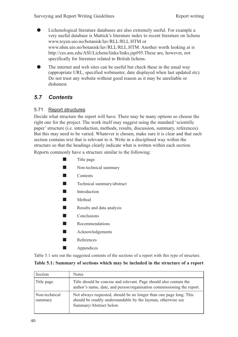- Lichenological literature databases are also extremely useful. For example a very useful database is Mattick's literature index to recent literature on lichens www.toyen.uio.no/botanisk/lav/RLL/RLL.HTM or www.nhm.uio.no/botanisk/lav/RLL/RLL.HTM. Another worth looking at is http://ces.asu.edu/ASULichens/links/links.jsp#95.These are, however, not specifically for literature related to British lichens.
- The internet and web sites can be useful but check these in the usual way (appropriate URL, specified webmaster, date displayed when last updated etc). Do not trust any website without good reason as it may be unreliable or dishonest.

# *5.7 Contents*

### 5.71 Report structures

Decide what structure the report will have. There may be many options so choose the right one for the project. The work itself may suggest using the standard 'scientific paper' structure (i.e. introduction, methods, results, discussion, summary, references). But this may need to be varied. Whatever is chosen, make sure it is clear and that each section contains text that is relevant to it. Write in a disciplined way within the structure so that the headings clearly indicate what is written within each section.

Reports commonly have a structure similar to the following:

■ Title page ■ Non-technical summary ■ Contents ■ Technical summary/abstract ■ Introduction ■ Method ■ Results and data analysis ■ Conclusions **E** Recommendations ■ Acknowledgements ■ References ■ Appendices

Table 5.1 sets out the suggested contents of the sections of a report with this type of structure.

#### Table 5.1: Summary of sections which may be included in the structure of a report

| Section                  | <b>Notes</b>                                                                                                                                                   |
|--------------------------|----------------------------------------------------------------------------------------------------------------------------------------------------------------|
| Title page               | Title should be concise and relevant. Page should also contain the<br>author's name, date, and person/organisation commissioning the report.                   |
| Non-technical<br>summary | Not always requested, should be no longer than one page long. This<br>should be readily understandable by the layman, otherwise see<br>Summary/Abstract below. |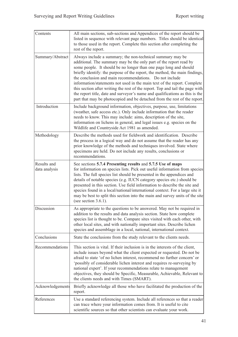| Contents                     | All main sections, sub-sections and Appendices of the report should be<br>listed in sequence with relevant page numbers. Titles should be identical<br>to those used in the report. Complete this section after completing the<br>rest of the report.                                                                                                                                                                                                                                                                                                                                                                                                                     |
|------------------------------|---------------------------------------------------------------------------------------------------------------------------------------------------------------------------------------------------------------------------------------------------------------------------------------------------------------------------------------------------------------------------------------------------------------------------------------------------------------------------------------------------------------------------------------------------------------------------------------------------------------------------------------------------------------------------|
| Summary/Abstract             | Always include a summary; the non-technical summary may be<br>additional. The summary may be the only part of the report read by<br>some people. It should be no longer than one page long and should<br>briefly identify: the purpose of the report, the method, the main findings,<br>the conclusion and main recommendations. Do not include<br>information/statements not used in the main text of the report. Complete<br>this section after writing the rest of the report. Top and tail the page with<br>the report title, date and surveyor's name and qualifications as this is the<br>part that may be photocopied and be detached from the rest of the report. |
| Introduction                 | Include background information, objectives, purpose, use, limitations<br>(weather, safe access etc.). Only include information that the reader<br>needs to know. This may include: aims, description of the site,<br>information on lichens in general, and legal issues e.g. species on the<br>Wildlife and Countryside Act 1981 as amended.                                                                                                                                                                                                                                                                                                                             |
| Methodology                  | Describe the methods used for fieldwork and identification. Describe<br>the process in a logical way and do not assume that the reader has any<br>prior knowledge of the methods and techniques involved. State where<br>specimens are held. Do not include any results, conclusions or<br>recommendations.                                                                                                                                                                                                                                                                                                                                                               |
| Results and<br>data analysis | See sections 5.7.4 Presenting results and 5.7.5 Use of maps<br>for information on species lists. Pick out useful information from species<br>lists. The full species list should be presented in the appendices and<br>details of notable species (e.g. IUCN category species etc.) should be<br>presented in this section. Use field information to describe the site and<br>species found in a local/national/international context. For a large site it<br>may be best to split this section into the main and survey units of the site<br>(see section $3.6.1$ ).                                                                                                     |
| Discussion                   | As appropriate to the questions to be answered. May not be required in<br>addition to the results and data analysis section. State how complete<br>species list is thought to be. Compare sites visited with each other, with<br>other local sites, and with nationally important sites. Describe lichen<br>species and assemblage in a local, national, international context.                                                                                                                                                                                                                                                                                           |
| Conclusions                  | State the conclusions from the study relevant to the clients needs.                                                                                                                                                                                                                                                                                                                                                                                                                                                                                                                                                                                                       |
| Recommendations              | This section is vital. If their inclusion is in the interests of the client,<br>include issues beyond what the client expected or requested. Do not be<br>afraid to state 'of no lichen interest, recommend no further concern' or<br>'possibly of considerable lichen interest and requires re-surveying by<br>national expert'. If your recommendations relate to management<br>objectives, they should be Specific, Measurable, Achievable, Relevant to<br>the clients needs and with Times (SMART).                                                                                                                                                                   |
| Acknowledgements             | Briefly acknowledge all those who have facilitated the production of the<br>report.                                                                                                                                                                                                                                                                                                                                                                                                                                                                                                                                                                                       |
| References                   | Use a standard referencing system. Include all references so that a reader<br>can trace where your information comes from. It is useful to cite<br>scientific sources so that other scientists can evaluate your work.                                                                                                                                                                                                                                                                                                                                                                                                                                                    |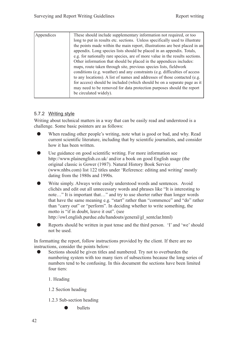| Appendices | These should include supplementary information not required, or too          |
|------------|------------------------------------------------------------------------------|
|            | long to put in results etc. sections. Unless specifically used to illustrate |
|            | the points made within the main report, illustrations are best placed in an  |
|            | appendix. Long species lists should be placed in an appendix. Totals,        |
|            | e.g. for nationally rare species, are of more value in the results sections. |
|            | Other information that should be placed in the appendices includes:          |
|            | maps, route taken through site, previous species lists, fieldwork            |
|            | conditions (e.g. weather) and any constraints (e.g. difficulties of access   |
|            | to any locations). A list of names and addresses of those contacted (e.g.    |
|            | for access) should be included (which should be on a separate page as it     |
|            | may need to be removed for data protection purposes should the report        |
|            | be circulated widely).                                                       |
|            |                                                                              |

### 5.7.2 Writing style

Writing about technical matters in a way that can be easily read and understood is a challenge. Some basic pointers are as follows:

- When reading other people's writing, note what is good or bad, and why. Read current scientific literature, including that by scientific journalists, and consider how it has been written.
- Use guidance on good scientific writing. For more information see http://www.plainenglish.co.uk/ and/or a book on good English usage (the original classic is Gower (1987). Natural History Book Service (www.nhbs.com) list 122 titles under 'Reference: editing and writing' mostly dating from the 1980s and 1990s.
- Write simply. Always write easily understood words and sentences. Avoid clichés and edit out all unnecessary words and phrases like "It is interesting to note…" It is important that…" and try to use shorter rather than longer words that have the same meaning e.g. "start" rather than "commence" and "do" rather than "carry out" or "perform". In deciding whether to write something, the motto is "if in doubt, leave it out". (see

http://owl.english.purdue.edu/handouts/general/gl\_sentclar.html)

● Reports should be written in past tense and the third person. 'I' and 'we' should not be used.

In formatting the report, follow instructions provided by the client. If there are no instructions, consider the points below:

- Sections should be given titles and numbered. Try not to overburden the numbering system with too many tiers of subsections because the long series of numbers tend to be confusing. In this document the sections have been limited four tiers:
	- 1. Heading
	- 1.2 Section heading
	- 1.2.3 Sub-section heading
		- bullets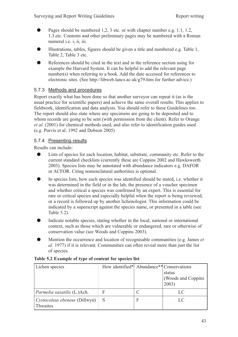- Pages should be numbered 1,2, 3 etc. or with chapter number e.g. 1,1, 1,2, 1.3.etc. Contents and other preliminary pages may be numbered with a Roman numeral i.e. i, ii, iii.
- Illustrations, tables, figures should be given a title and numbered e.g. Table 1, Table 2, Table 3 etc.
- References should be cited in the text and in the reference section using for example the Harvard System. It can be helpful to add the relevant page number(s) when referring to a book. Add the date accessed for references to electronic sites. (See http://libweb.lancs.ac.uk/g79.htm for further advice.)

#### 5.7.3 Methods and procedures

Report exactly what has been done so that another surveyor can repeat it (as is the usual practice for scientific papers) and achieve the same overall results. This applies to fieldwork, identification and data analysis. You should refer to these Guidelines too. The report should also state where any specimens are going to be deposited and to whom records are going to be sent (with permission from the client). Refer to Orange et al. (2001) for chemical methods used, and also refer to identification guides used (e.g. Purvis et al. 1992 and Dobson 2005)

#### 5.7.4 Presenting results

Results can include:

- Lists of species for each location, habitat, substrate, community etc. Refer to the current standard checklists (currently these are Coppins 2002 and Hawksworth 2003). Species lists may be annotated with abundance indicators e.g. DAFOR or ACFOR. Citing nomenclatural authorities is optional.
- In species lists, how each species was identified should be stated, i.e. whether it was determined in the field or in the lab, the presence of a voucher specimen and whether critical a species was confirmed by an expert. This is essential for rare or critical species and especially helpful when the report is being reviewed, or a record is followed up by another lichenologist. This information could be indicated by a superscript against the species name, or presented in a table (see Table 5.2).
- Indicate notable species, stating whether in the local, national or international context, such as those which are vulnerable or endangered, rare or otherwise of conservation value (see Woods and Coppins 2003).
- $\bullet$  Mention the occurrence and location of recognisable communities (e.g. James *et*) al. 1977) if it is relevant. Communities can often reveal more than just the list of species.

| Lichen species                            | How identified* Abundance** Conservations |   |                                        |
|-------------------------------------------|-------------------------------------------|---|----------------------------------------|
|                                           |                                           |   | status<br>(Woods and Coppins)<br>2003) |
| Parmelia saxatilis (L.)Ach.               |                                           |   | LC                                     |
| Cystocoleus ebeneus (Dillwyn)<br>Thwaites | S                                         | F | LC                                     |

#### Table 5.2 Example of type of content for species list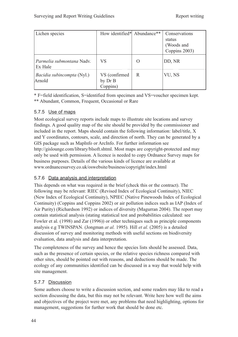| Lichen species                              | How identified* Abundance** |   | Conservations |
|---------------------------------------------|-----------------------------|---|---------------|
|                                             |                             |   | status        |
|                                             |                             |   | (Woods and    |
|                                             |                             |   | Coppins 2003) |
| <i>Parmelia submontana</i> Nadv.<br>Ex Hale | VS                          |   | DD, NR        |
| <i>Bacidia subincompta</i> (Nyl.)<br>Arnold | VS (confirmed)<br>by Dr B   | R | VU, NS        |
|                                             | Coppins)                    |   |               |

\* F=field identification, S=identified from specimen and VS=voucher specimen kept. \*\* Abundant, Common, Frequent, Occasional or Rare

### 5.7.5 Use of maps

Most ecological survey reports include maps to illustrate site locations and survey findings. A good quality map of the site should be provided by the commissioner and included in the report. Maps should contain the following information: label/title, X and Y coordinates, contours, scale, and direction of north. They can be generated by a GIS package such as MapInfo or ArcInfo. For further information see http://gislounge.com/library/blsoft.shtml. Most maps are copyright-protected and may only be used with permission. A licence is needed to copy Ordnance Survey maps for business purposes. Details of the various kinds of licence are available at www.ordnancesurvey.co.uk/oswebsite/business/copyright/index.html

### 5.7.6 Data analysis and interpretation

This depends on what was required in the brief (check this or the contract). The following may be relevant: RIEC (Revised Index of Ecological Continuity), NIEC (New Index of Ecological Continuity), NPIEC (Native Pinewoods Index of Ecological Continuity) (Coppins and Coppins 2002) or air pollution indices such as IAP (Index of Air Purity) (Richardson 1992) or indices of diversity (Magurran 2004). The report may contain statistical analysis (stating statistical test and probabilities calculated: see Fowler et al. (1998) and Zar (1996)) or other techniques such as principle components analysis e.g TWINSPAN. (Jongman at al. 1995). Hill et al. (2005) is a detailed discussion of survey and monitoring methods with useful sections on biodiversity evaluation, data analysis and data interpretation.

The completeness of the survey and hence the species lists should be assessed. Data, such as the presence of certain species, or the relative species richness compared with other sites, should be pointed out with reasons, and deductions should be made. The ecology of any communities identified can be discussed in a way that would help with site management.

### 5.7.7 Discussion

Some authors choose to write a discussion section, and some readers may like to read a section discussing the data, but this may not be relevant. Write here how well the aims and objectives of the project were met, any problems that need highlighting, options for management, suggestions for further work that should be done etc.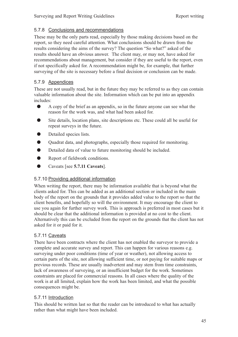#### 5.7.8 Conclusions and recommendations

These may be the only parts read, especially by those making decisions based on the report, so they need careful attention. What conclusions should be drawn from the results considering the aims of the survey? The question "So what?" asked of the results should have an obvious answer. The client may, or may not, have asked for recommendations about management, but consider if they are useful to the report, even if not specifically asked for. A recommendation might be, for example, that further surveying of the site is necessary before a final decision or conclusion can be made.

### 5.7.9 Appendices

These are not usually read, but in the future they may be referred to as they can contain valuable information about the site. Information which can be put into an appendix includes:

- A copy of the brief as an appendix, so in the future anyone can see what the reason for the work was, and what had been asked for.
- Site details, location plans, site descriptions etc. These could all be useful for repeat surveys in the future.
- Detailed species lists.
- Quadrat data, and photographs, especially those required for monitoring.
- Detailed data of value to future monitoring should be included.
- Report of fieldwork conditions.
- Caveats [see 5.7.11 Caveats].

### 5.7.10 Providing additional information

When writing the report, there may be information available that is beyond what the clients asked for. This can be added as an additional section or included in the main body of the report on the grounds that it provides added value to the report so that the client benefits, and hopefully so will the environment. It may encourage the client to use you again for further survey work. This is approach is preferred in most cases but it should be clear that the additional information is provided at no cost to the client. Alternatively this can be excluded from the report on the grounds that the client has not asked for it or paid for it.

#### 5.7.11 Caveats

There have been contracts where the client has not enabled the surveyor to provide a complete and accurate survey and report. This can happen for various reasons e.g. surveying under poor conditions (time of year or weather), not allowing access to certain parts of the site, not allowing sufficient time, or not paying for suitable maps or previous records. These are usually inadvertent and may stem from time constraints, lack of awareness of surveying, or an insufficient budget for the work. Sometimes constraints are placed for commercial reasons. In all cases where the quality of the work is at all limited, explain how the work has been limited, and what the possible consequences might be.

### 5.7.11 Introduction

This should be written last so that the reader can be introduced to what has actually rather than what might have been included.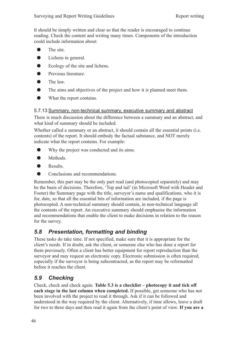It should be simply written and clear so that the reader is encouraged to continue reading. Check the content and writing many times. Components of the introduction could include information about:

- The site.
- Lichens in general.
- Ecology of the site and lichens.
- Previous literature.
- The law
- The aims and objectives of the project and how it is planned meet them.
- What the report contains.

#### 5.7.13 Summary, non-technical summary, executive summary and abstract

There is much discussion about the difference between a summary and an abstract, and what kind of summary should be included.

Whether called a summary or an abstract, it should contain all the essential points (i.e. contents) of the report. It should embody the factual substance, and NOT merely indicate what the report contains. For example:

- Why the project was conducted and its aims.
- Methods.
- Results.
- Conclusions and recommendations.

Remember, this part may be the only part read (and photocopied separately) and may be the basis of decisions. Therefore, 'Top and tail' (in Microsoft Word with Header and Footer) the Summary page with the title, surveyor's name and qualifications, who it is for, date, so that all the essential bits of information are included, if the page is photocopied. A non-technical summary should contain, in non-technical language all the contents of the report. An executive summary should emphasise the information and recommendations that enable the client to make decisions in relation to the reason for the survey.

# *5.8 Presentation, formatting and binding*

These tasks do take time. If not specified, make sure that it is appropriate for the client's needs. If in doubt, ask the client, or someone else who has done a report for them previously. Often a client has better equipment for report reproduction than the surveyor and may request an electronic copy. Electronic submission is often required, especially if the surveyor is being subcontracted, as the report may be reformatted before it reaches the client.

# *5.9 Checking*

Check, check and check again. Table 5.3 is a checklist – photocopy it and tick off each stage in the last column when completed. If possible, get someone who has not been involved with the project to read it through. Ask if it can be followed and understood in the way required by the client. Alternatively, if time allows, leave a draft for two to three days and then read it again from the client's point of view. If you are a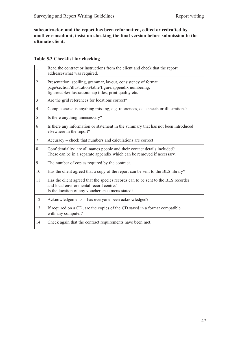subcontractor, and the report has been reformatted, edited or redrafted by another consultant, insist on checking the final version before submission to the ultimate client.

#### Table 5.3 Checklist for checking

| $\mathbf{1}$   | Read the contract or instructions from the client and check that the report<br>addresseswhat was required.                                                                                |  |
|----------------|-------------------------------------------------------------------------------------------------------------------------------------------------------------------------------------------|--|
| $\overline{2}$ | Presentation: spelling, grammar, layout, consistency of format.<br>page/section/illustration/table/figure/appendix numbering,<br>figure/table/illustration/map titles, print quality etc. |  |
| $\mathfrak{Z}$ | Are the grid references for locations correct?                                                                                                                                            |  |
| $\overline{4}$ | Completeness: is anything missing, e.g. references, data sheets or illustrations?                                                                                                         |  |
| 5              | Is there anything unnecessary?                                                                                                                                                            |  |
| 6              | Is there any information or statement in the summary that has not been introduced<br>elsewhere in the report?                                                                             |  |
| $\overline{7}$ | Accuracy – check that numbers and calculations are correct                                                                                                                                |  |
| 8              | Confidentiality: are all names people and their contact details included?<br>These can be in a separate appendix which can be removed if necessary.                                       |  |
| 9              | The number of copies required by the contract.                                                                                                                                            |  |
| 10             | Has the client agreed that a copy of the report can be sent to the BLS library?                                                                                                           |  |
| 11             | Has the client agreed that the species records can to be sent to the BLS recorder<br>and local environmental record centre?<br>Is the location of any voucher specimens stated?           |  |
| 12             | Acknowledgements - has everyone been acknowledged?                                                                                                                                        |  |
| 13             | If required on a CD, are the copies of the CD saved in a format compatible<br>with any computer?                                                                                          |  |
| 14             | Check again that the contract requirements have been met.                                                                                                                                 |  |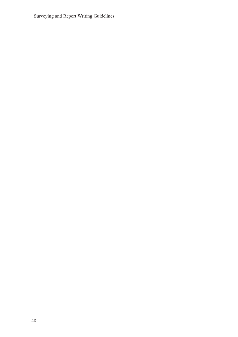Surveying and Report Writing Guidelines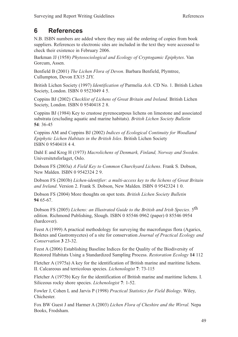# **6 References**

N.B. ISBN numbers are added where they may aid the ordering of copies from book suppliers. References to electronic sites are included in the text they were accessed to check their existence in February 2006.

Barkman JJ (1958) Phytosociological and Ecology of Cryptogamic Epiphytes. Van Gorcum, Assen.

Benfield B (2001) The Lichen Flora of Devon. Barbara Benfield, Plymtree, Cullumpton, Devon EX15 2JY.

British Lichen Society (1997) Identification of Parmelia Ach. CD No. 1. British Lichen Society, London. ISBN 0 9523049 4 5.

Coppins BJ (2002) Checklist of Lichens of Great Britain and Ireland. British Lichen Society, London. ISBN 0 9540418 2 8.

Coppins BJ (1984) Key to crustose pyrenocarpous lichens on limestone and associated substrata (excluding aquatic and marine habitats). British Lichen Society Bulletin 54: 36-45

Coppins AM and Coppins BJ (2002) Indices of Ecological Continuity for Woodland Epiphytic Lichen Habitats in the British Isles. British Lichen Society ISBN 0 9540418 4 4.

Dahl E and Krog H (1973) Macrolichens of Denmark, Finland, Norway and Sweden. Universitetsforlaget, Oslo.

Dobson FS (2003a) A Field Key to Common Churchyard Lichens. Frank S. Dobson, New Malden. ISBN 0 9542324 2 9.

Dobson FS (2003b) Lichen-identifier: a multi-access key to the lichens of Great Britain and Ireland. Version 2. Frank S. Dobson, New Malden. ISBN 0 9542324 1 0.

Dobson FS (2004) More thoughts on spot tests. British Lichen Society Bulletin 94 65-67.

Dobson FS (2005) Lichens: an Illustrated Guide to the British and Irish Species. 5<sup>th</sup> edition. Richmond Publishing, Slough. ISBN 0 85546 0962 (paper) 0 85546 0954 (hardcover).

Feest A (1999) A practical methodology for surveying the macrofungus flora (Agarics, Boletes and Gastromycetes) of a site for conservation Journal of Practical Ecology and Conservation 3 23-32.

Feest A (2006) Establishing Baseline Indices for the Quality of the Biodiversity of Restored Habitats Using a Standardized Sampling Process. Restoration Ecology 14 112

Fletcher A (1975a) A key for the identification of British marine and maritime lichens. II. Calcareous and terricolous species. Lichenologist 7: 73-115

Fletcher A (1975b) Key for the identification of British marine and maritime lichens. I. Siliceous rocky shore species. *Lichenologist* 7: 1-52.

Fowler J, Cohen L and Jarvis P (1998) Practical Statistics for Field Biology. Wiley, Chichester.

Fox BW Guest J and Harmer A (2003) Lichen Flora of Cheshire and the Wirral. Nepa Books, Frodsham.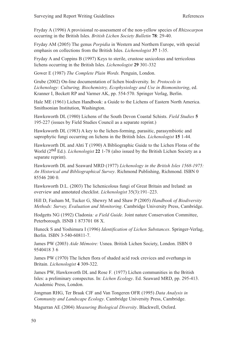Fryday A (1996) A provisional re-assessment of the non-yellow species of Rhizocarpon occurring in the British Isles. British Lichen Society Bulletin 78: 29-40.

Fryday AM (2005) The genus Porpidia in Western and Northern Europe, with special emphasis on collections from the British Isles. *Lichenologist* 37 1-35.

Fryday A and Coppins B (1997) Keys to sterile, crustose saxicolous and terricolous lichens occurring in the British Isles. Lichenologist 29 301-332

Gower E (1987) The Complete Plain Words. Penguin, London.

Grube (2002) On-line documentation of lichen biodiversity. In: Protocols in Lichenology: Culturing, Biochemistry, Ecophysiology and Use in Biomonitoring, ed. Kranner I, Beckett RP and Varmer AK, pp. 554-570. Springer Verlag, Berlin.

Hale ME (1961) Lichen Handbook: a Guide to the Lichens of Eastern North America. Smithsonian Institution, Washington.

Hawksworth DL (1980) Lichens of the South Devon Coastal Schists. Field Studies 5 195-227 (issues by Field Studies Council as a separate reprint.)

Hawksworth DL (1983) A key to the lichen-forming, parasitic, parasymbiotic and saprophytic fungi occurring on lichens in the British Isles. *Lichenologist* 15 1-44.

Hawksworth DL and Ahti T (1990) A Bibliographic Guide to the Lichen Floras of the World ( $2<sup>nd</sup>$  Ed.). *Lichenologist* 22 1-78 (also issued by the British Lichen Society as a separate reprint).

Hawksworth DL and Seaward MRD (1977) Lichenology in the British Isles 1568-1975: An Historical and Bibliographical Survey. Richmond Publishing, Richmond. ISBN 0 85546 200 0.

Hawksworth D.L. (2003) The lichenicolous fungi of Great Britain and Ireland: an overview and annotated checklist. Lichenologist 35(3):191–223.

Hill D, Fasham M, Tucker G, Shewry M and Shaw P (2005) Handbook of Biodiversity Methods: Survey, Evaluation and Monitoring. Cambridge University Press, Cambridge.

Hodgetts NG (1992) Cladonia: a Field Guide. Joint nature Conservation Committee, Peterborough. ISNB 1 873701 08 X.

Huneck S and Yoshimura I (1996) Identification of Lichen Substances. Springer-Verlag, Berlin. ISBN 3-540-60811-7.

James PW (2003) *Aide Mémoire:* Usnea. British Lichen Society, London. ISBN 0 9540418 3 6

James PW (1970) The lichen flora of shaded acid rock crevices and overhangs in Britain. Lichenologist 4 309-322.

James PW, Hawksworth DL and Rose F. (1977) Lichen communities in the British Isles: a preliminary conspectus. In: Lichen Ecology. Ed. Seaward MRD, pp. 295-413. Academic Press, London.

Jongman RHG, Ter Braak CJF and Van Tongeren OFR (1995) Data Analysis in Community and Landscape Ecology. Cambridge University Press, Cambridge.

Magurran AE (2004) Measuring Biological Diversity. Blackwell, Oxford.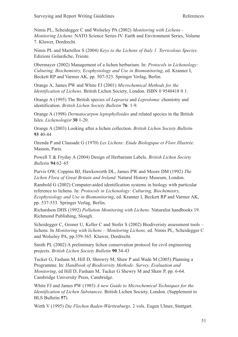Nimis PL, Scheidegger C and Wolseley PA (2002) Monitoring with Lichens - Monitoring Lichens. NATO Science Series IV. Earth and Environment Series, Volume 7. Kluwer, Dordrecht.

Nimis PL and Martellos S (2004) Keys to the Lichens of Italy 1. Terricolous Species. Edizioni Golardiche, Trieste.

Obermayer (2002) Management of a lichen herbarium. In: Protocols in Lichenology: Culturing, Biochemistry, Ecophysiology and Use in Biomonitoring, ed. Kranner I, Beckett RP and Varmer AK, pp. 507-523. Springer Verlag, Berlin.

Orange A, James PW and White FJ (2001) Microchemical Methods for the Identification of Lichens. British Lichen Society, London. ISBN 0 9540418 0 1.

Orange A (1995) The British species of Lepraria and Leproloma: chemistry and identification. British Lichen Society Bulletin 76: 1-9.

Orange A (1998) Dermatocarpon leptophylloides and related species in the British Isles. Lichenologist 30 1-20.

Orange A (2003) Looking after a lichen collection. British Lichen Society Bulletin 93 40-44

Ozenda P and Clausade G (1970) Les Lichens: Etude Biologique et Flore Illustrée. Masson, Paris.

Powell T & Fryday A (2004) Design of Herbarium Labels. British Lichen Society Bulletin 94:62–65

Purvis OW, Coppins BJ, Hawksworth DL, James PW and Moore DM (1992) The Lichen Flora of Great Britain and Ireland. Natural History Museum, London.

Rambold G (2002) Computer-aided identification systems in biology with particular reference to lichens. In: Protocols in Lichenology: Culturing, Biochemistry, Ecophysiology and Use in Biomonitoring, ed. Kranner I, Beckett RP and Varmer AK, pp. 537-553. Springer Verlag, Berlin.

Richardson DHS (1992) Pollution Monitoring with Lichens. Naturalist handbooks 19. Richmond Publishing, Slough.

Scheidegger C, Groner U, Keller C and Stofer S (2002) Biodiveristy assessment tools – lichens. In Monitoring with lichens – Monitoring Lichens, ed. Nimis PL, Scheidegger C and Wolseley PA, pp.359-365. Kluwer, Dordrecht.

Smith PL (2002) A preliminary lichen conservation protocol for civil engineering projects. British Lichen Society Bulletin 90 34-43

Tucker G, Fasham M, Hill D, Shrewry M, Shaw P and Wade M (2005) Planning a Programme. In: Handbook of Biodiversity Methods: Survey, Evaluation and Monitoring, ed Hill D, Fasham M, Tucker G Shewry M and Shaw P, pp. 6-64. Cambridge University Press, Cambridge.

White FJ and James PW (1985) A new Guide to Microchemical Techniques for the Identification of Lichen Substances. British Lichen Society, London. (Supplement to BLS Bulletin 57).

Wirth V (1995) Die Flechen Baden-Württenburgs. 2 vols. Eugen Ulmer, Stuttgart.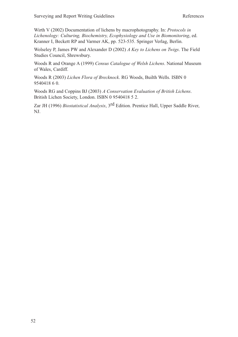Wirth V (2002) Documentation of lichens by macrophotography. In: Protocols in Lichenology: Culturing, Biochemistry, Ecophysiology and Use in Biomonitoring, ed. Kranner I, Beckett RP and Varmer AK, pp. 523-535. Springer Verlag, Berlin.

Wolseley P, James PW and Alexander D (2002) A Key to Lichens on Twigs. The Field Studies Council, Shrewsbury.

Woods R and Orange A (1999) Census Catalogue of Welsh Lichens. National Museum of Wales, Cardiff.

Woods R (2003) Lichen Flora of Brecknock. RG Woods, Builth Wells. ISBN 0 9540418 6 0.

Woods RG and Coppins BJ (2003) A Conservation Evaluation of British Lichens. British Lichen Society, London. ISBN 0 9540418 5 2.

Zar JH (1996) Biostatistical Analysis, 3rd Edition. Prentice Hall, Upper Saddle River, NJ.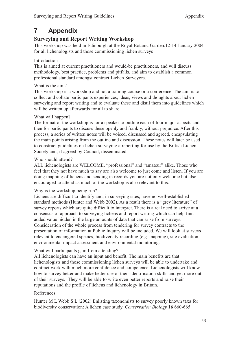# **7 Appendix**

### Surveying and Report Writing Workshop

This workshop was held in Edinburgh at the Royal Botanic Garden.12-14 January 2004 for all lichenologists and those commissioning lichen surveys

#### Introduction

This is aimed at current practitioners and would-be practitioners, and will discuss methodology, best practice, problems and pitfalls, and aim to establish a common professional standard amongst contract Lichen Surveyors.

#### What is the aim?

This workshop is a workshop and not a training course or a conference. The aim is to collect and collate participants experiences, ideas, views and thoughts about lichen surveying and report writing and to evaluate these and distil them into guidelines which will be written up afterwards for all to share.

#### What will happen?

The format of the workshop is for a speaker to outline each of four major aspects and then for participants to discuss these openly and frankly, without prejudice. After this process, a series of written notes will be voiced, discussed and agreed, encapsulating the main points arising from the outline and discussion. These notes will later be used to construct guidelines on lichen surveying a reporting for use by the British Lichen Society and, if agreed by Council, disseminated.

#### Who should attend?

ALL lichenologists are WELCOME, "professional" and "amateur" alike. Those who feel that they not have much to say are also welcome to just come and listen. If you are doing mapping of lichens and sending in records you are not only welcome but also encouraged to attend as much of the workshop is also relevant to this.

#### Why is the workshop being run?

Lichens are difficult to identify and, in surveying sites, have no well-established standard methods (Hunter and Webb 2002). As a result there is a "grey literature" of survey reports which are quite difficult to interpret. There is a real need to arrive at a consensus of approach to surveying lichens and report writing which can help find added value hidden in the large amounts of data that can arise from surveys. Consideration of the whole process from tendering for survey contracts to the presentation of information at Public Inquiry will be included. We will look at surveys relevant to endangered species, biodiversity recording (e.g. mapping), site evaluation, environmental impact assessment and environmental monitoring.

#### What will participants gain from attending?

All lichenologists can have an input and benefit. The main benefits are that lichenologists and those commissioning lichen surveys will be able to undertake and contract work with much more confidence and competence. Lichenologists will know how to survey better and make better use of their identification skills and get more out of their surveys. They will be able to write even better reports and raise their reputations and the profile of lichens and lichenology in Britain.

#### References:

Hunter M L Webb S L (2002) Enlisting taxonomists to survey poorly known taxa for biodiversity conservation: A lichen case study. Conservation Biology 16 660-665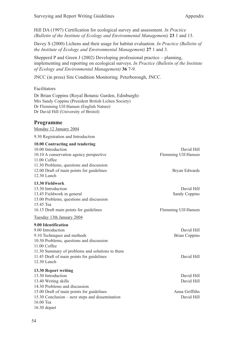Hill DA (1997) Certification for ecological survey and assessment. In Practice (Bulletin of the Institute of Ecology and Environmental Management) 23 1 and 13.

Davey S (2000) Lichens and their usage for habitat evaluation. In Practice (Bulletin of the Institute of Ecology and Environmental Management) 27 1 and 3.

Shepperd P and Green J (2002) Developing professional practice – planning, implementing and reporting on ecological surveys. In Practice (Bulletin of the Institute of Ecology and Environmental Management) 36 7-9.

JNCC (in press) Site Condition Monitoring. Peterborough, JNCC.

#### Facilitators

Dr Brian Coppins (Royal Botanic Garden, Edinburgh) Mrs Sandy Coppins (President British Lichen Society) Dr Flemming Ulf-Hansen (English Nature) Dr David Hill (University of Bristol)

#### Programme

Monday 12 January 2004

9.30 Registration and Introduction

#### 10.00 Contracting and tendering

| $\sim$ once we can $\sim$<br>10.00 Introduction | David Hill           |
|-------------------------------------------------|----------------------|
| 10.10 A conservation agency perspective         | Flemming Ulf-Hansen  |
| 11.00 Coffee                                    |                      |
| 11.30 Problems, questions and discussion        |                      |
| 12.00 Draft of main points for guidelines       | Bryan Edwards        |
| 12.30 Lunch                                     |                      |
| 13.30 Fieldwork                                 |                      |
| 13.30 Introduction                              | David Hill           |
| 13.45 Fieldwork in general                      | <b>Sandy Coppins</b> |
| 15.00 Problems, questions and discussion        |                      |
| 15.45 Tea                                       |                      |
| 16.15 Draft main points for guidelines          | Flemming Ulf-Hansen  |
| Tuesday 13th January 2004                       |                      |
| 9.00 Identification                             |                      |
| 9.00 Introduction                               | David Hill           |
| 9.10 Techniques and methods                     | <b>Brian Coppins</b> |
| 10.30 Problems, questions and discussion        |                      |
| 11.00 Coffee                                    |                      |
| 11.30 Summary of problems and solutions to them |                      |
| 11.45 Draft of main points for guidelines       | David Hill           |
| 12.30 Lunch                                     |                      |
| 13.30 Report writing                            |                      |
| 13.30 Introduction                              | David Hill           |
| 13.40 Writing skills                            | David Hill           |
| 14.30 Problems and discussion                   |                      |
| 15.00 Draft of main points for guidelines       | Anna Griffiths       |
| 15.30 Conclusion – next steps and dissemination | David Hill           |
| 16.00 Tea                                       |                      |
| $16.30$ depart                                  |                      |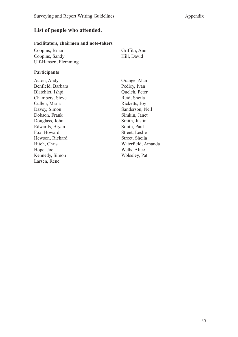### List of people who attended.

#### Facilitators, chairmen and note-takers

Coppins, Brian Coppins, Sandy Ulf-Hansen, Flemming

#### **Participants**

Acton, Andy Benfield, Barbara Blatchlet, Ishpi Chambers, Steve Cullen, Maria Davey, Simon Dobson, Frank Douglass, John Edwards, Bryan Fox, Howard Hewson, Richard Hitch, Chris Hope, Joe Kennedy, Simon Larsen, Rene

Griffith, Ann Hill, David

Orange, Alan Pedley, Ivan Quelch, Peter Reid, Sheila Ricketts, Joy Sanderson, Neil Simkin, Janet Smith, Justin Smith, Paul Street, Leslie Street, Sheila Waterfield, Amanda Wells, Alice Wolseley, Pat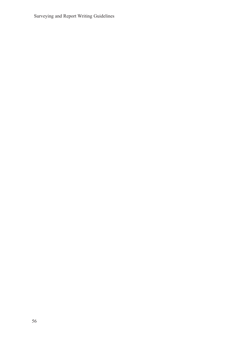Surveying and Report Writing Guidelines